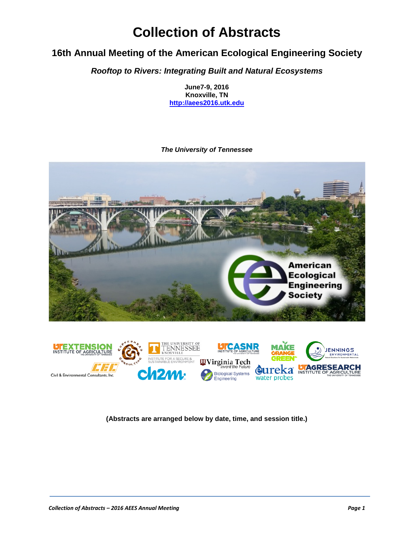# **Collection of Abstracts**

## **16th Annual Meeting of the American Ecological Engineering Society**

*Rooftop to Rivers: Integrating Built and Natural Ecosystems*

**June7-9, 2016 Knoxville, TN [http://aees2016.utk.edu](http://aees2016.utk.edu/)**

#### *The University of Tennessee*



**(Abstracts are arranged below by date, time, and session title.)**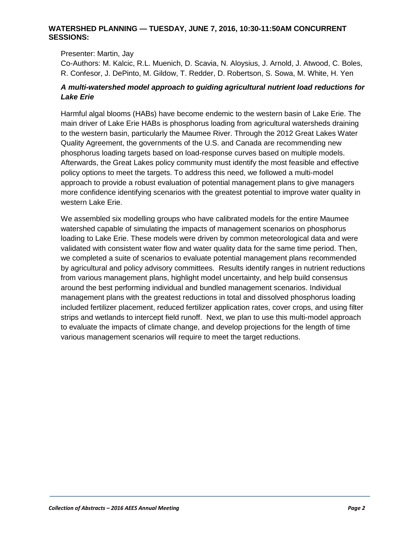#### **WATERSHED PLANNING — TUESDAY, JUNE 7, 2016, 10:30-11:50AM CONCURRENT SESSIONS:**

Presenter: Martin, Jay

Co-Authors: M. Kalcic, R.L. Muenich, D. Scavia, N. Aloysius, J. Arnold, J. Atwood, C. Boles, R. Confesor, J. DePinto, M. Gildow, T. Redder, D. Robertson, S. Sowa, M. White, H. Yen

#### *A multi-watershed model approach to guiding agricultural nutrient load reductions for Lake Erie*

Harmful algal blooms (HABs) have become endemic to the western basin of Lake Erie. The main driver of Lake Erie HABs is phosphorus loading from agricultural watersheds draining to the western basin, particularly the Maumee River. Through the 2012 Great Lakes Water Quality Agreement, the governments of the U.S. and Canada are recommending new phosphorus loading targets based on load-response curves based on multiple models. Afterwards, the Great Lakes policy community must identify the most feasible and effective policy options to meet the targets. To address this need, we followed a multi-model approach to provide a robust evaluation of potential management plans to give managers more confidence identifying scenarios with the greatest potential to improve water quality in western Lake Erie.

We assembled six modelling groups who have calibrated models for the entire Maumee watershed capable of simulating the impacts of management scenarios on phosphorus loading to Lake Erie. These models were driven by common meteorological data and were validated with consistent water flow and water quality data for the same time period. Then, we completed a suite of scenarios to evaluate potential management plans recommended by agricultural and policy advisory committees. Results identify ranges in nutrient reductions from various management plans, highlight model uncertainty, and help build consensus around the best performing individual and bundled management scenarios. Individual management plans with the greatest reductions in total and dissolved phosphorus loading included fertilizer placement, reduced fertilizer application rates, cover crops, and using filter strips and wetlands to intercept field runoff. Next, we plan to use this multi-model approach to evaluate the impacts of climate change, and develop projections for the length of time various management scenarios will require to meet the target reductions.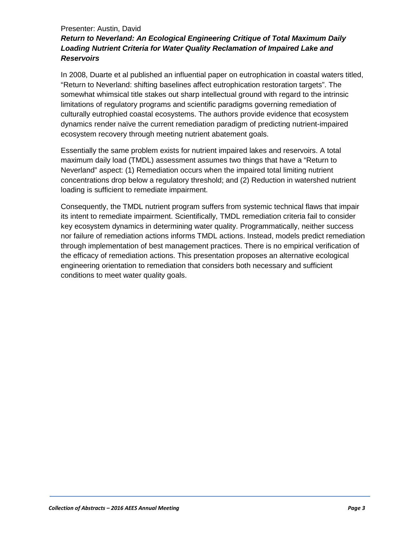#### Presenter: Austin, David

## *Return to Neverland: An Ecological Engineering Critique of Total Maximum Daily Loading Nutrient Criteria for Water Quality Reclamation of Impaired Lake and Reservoirs*

In 2008, Duarte et al published an influential paper on eutrophication in coastal waters titled, "Return to Neverland: shifting baselines affect eutrophication restoration targets". The somewhat whimsical title stakes out sharp intellectual ground with regard to the intrinsic limitations of regulatory programs and scientific paradigms governing remediation of culturally eutrophied coastal ecosystems. The authors provide evidence that ecosystem dynamics render naïve the current remediation paradigm of predicting nutrient-impaired ecosystem recovery through meeting nutrient abatement goals.

Essentially the same problem exists for nutrient impaired lakes and reservoirs. A total maximum daily load (TMDL) assessment assumes two things that have a "Return to Neverland" aspect: (1) Remediation occurs when the impaired total limiting nutrient concentrations drop below a regulatory threshold; and (2) Reduction in watershed nutrient loading is sufficient to remediate impairment.

Consequently, the TMDL nutrient program suffers from systemic technical flaws that impair its intent to remediate impairment. Scientifically, TMDL remediation criteria fail to consider key ecosystem dynamics in determining water quality. Programmatically, neither success nor failure of remediation actions informs TMDL actions. Instead, models predict remediation through implementation of best management practices. There is no empirical verification of the efficacy of remediation actions. This presentation proposes an alternative ecological engineering orientation to remediation that considers both necessary and sufficient conditions to meet water quality goals.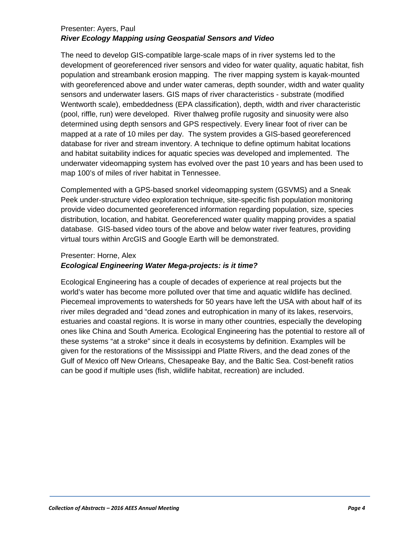## Presenter: Ayers, Paul *River Ecology Mapping using Geospatial Sensors and Video*

The need to develop GIS-compatible large-scale maps of in river systems led to the development of georeferenced river sensors and video for water quality, aquatic habitat, fish population and streambank erosion mapping. The river mapping system is kayak-mounted with georeferenced above and under water cameras, depth sounder, width and water quality sensors and underwater lasers. GIS maps of river characteristics - substrate (modified Wentworth scale), embeddedness (EPA classification), depth, width and river characteristic (pool, riffle, run) were developed. River thalweg profile rugosity and sinuosity were also determined using depth sensors and GPS respectively. Every linear foot of river can be mapped at a rate of 10 miles per day. The system provides a GIS-based georeferenced database for river and stream inventory. A technique to define optimum habitat locations and habitat suitability indices for aquatic species was developed and implemented. The underwater videomapping system has evolved over the past 10 years and has been used to map 100's of miles of river habitat in Tennessee.

Complemented with a GPS-based snorkel videomapping system (GSVMS) and a Sneak Peek under-structure video exploration technique, site-specific fish population monitoring provide video documented georeferenced information regarding population, size, species distribution, location, and habitat. Georeferenced water quality mapping provides a spatial database. GIS-based video tours of the above and below water river features, providing virtual tours within ArcGIS and Google Earth will be demonstrated.

#### Presenter: Horne, Alex

#### *Ecological Engineering Water Mega-projects: is it time?*

Ecological Engineering has a couple of decades of experience at real projects but the world's water has become more polluted over that time and aquatic wildlife has declined. Piecemeal improvements to watersheds for 50 years have left the USA with about half of its river miles degraded and "dead zones and eutrophication in many of its lakes, reservoirs, estuaries and coastal regions. It is worse in many other countries, especially the developing ones like China and South America. Ecological Engineering has the potential to restore all of these systems "at a stroke" since it deals in ecosystems by definition. Examples will be given for the restorations of the Mississippi and Platte Rivers, and the dead zones of the Gulf of Mexico off New Orleans, Chesapeake Bay, and the Baltic Sea. Cost-benefit ratios can be good if multiple uses (fish, wildlife habitat, recreation) are included.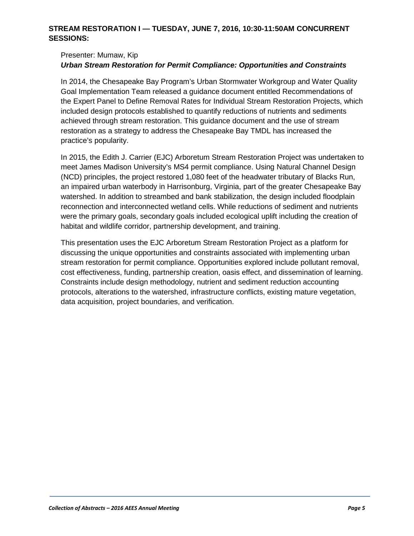#### **STREAM RESTORATION I — TUESDAY, JUNE 7, 2016, 10:30-11:50AM CONCURRENT SESSIONS:**

#### Presenter: Mumaw, Kip

#### *Urban Stream Restoration for Permit Compliance: Opportunities and Constraints*

In 2014, the Chesapeake Bay Program's Urban Stormwater Workgroup and Water Quality Goal Implementation Team released a guidance document entitled Recommendations of the Expert Panel to Define Removal Rates for Individual Stream Restoration Projects, which included design protocols established to quantify reductions of nutrients and sediments achieved through stream restoration. This guidance document and the use of stream restoration as a strategy to address the Chesapeake Bay TMDL has increased the practice's popularity.

In 2015, the Edith J. Carrier (EJC) Arboretum Stream Restoration Project was undertaken to meet James Madison University's MS4 permit compliance. Using Natural Channel Design (NCD) principles, the project restored 1,080 feet of the headwater tributary of Blacks Run, an impaired urban waterbody in Harrisonburg, Virginia, part of the greater Chesapeake Bay watershed. In addition to streambed and bank stabilization, the design included floodplain reconnection and interconnected wetland cells. While reductions of sediment and nutrients were the primary goals, secondary goals included ecological uplift including the creation of habitat and wildlife corridor, partnership development, and training.

This presentation uses the EJC Arboretum Stream Restoration Project as a platform for discussing the unique opportunities and constraints associated with implementing urban stream restoration for permit compliance. Opportunities explored include pollutant removal, cost effectiveness, funding, partnership creation, oasis effect, and dissemination of learning. Constraints include design methodology, nutrient and sediment reduction accounting protocols, alterations to the watershed, infrastructure conflicts, existing mature vegetation, data acquisition, project boundaries, and verification.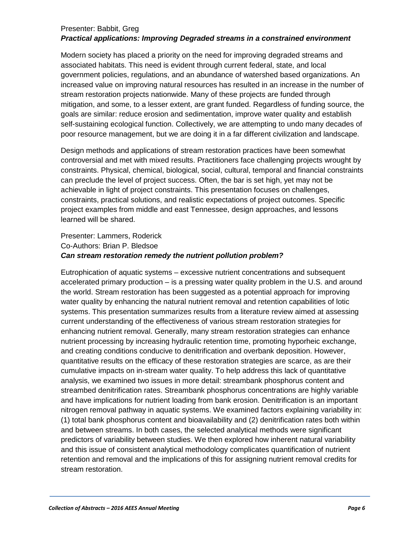#### Presenter: Babbit, Greg *Practical applications: Improving Degraded streams in a constrained environment*

Modern society has placed a priority on the need for improving degraded streams and associated habitats. This need is evident through current federal, state, and local government policies, regulations, and an abundance of watershed based organizations. An increased value on improving natural resources has resulted in an increase in the number of stream restoration projects nationwide. Many of these projects are funded through mitigation, and some, to a lesser extent, are grant funded. Regardless of funding source, the goals are similar: reduce erosion and sedimentation, improve water quality and establish self-sustaining ecological function. Collectively, we are attempting to undo many decades of poor resource management, but we are doing it in a far different civilization and landscape.

Design methods and applications of stream restoration practices have been somewhat controversial and met with mixed results. Practitioners face challenging projects wrought by constraints. Physical, chemical, biological, social, cultural, temporal and financial constraints can preclude the level of project success. Often, the bar is set high, yet may not be achievable in light of project constraints. This presentation focuses on challenges, constraints, practical solutions, and realistic expectations of project outcomes. Specific project examples from middle and east Tennessee, design approaches, and lessons learned will be shared.

#### Presenter: Lammers, Roderick Co-Authors: Brian P. Bledsoe *Can stream restoration remedy the nutrient pollution problem?*

Eutrophication of aquatic systems – excessive nutrient concentrations and subsequent accelerated primary production – is a pressing water quality problem in the U.S. and around the world. Stream restoration has been suggested as a potential approach for improving water quality by enhancing the natural nutrient removal and retention capabilities of lotic systems. This presentation summarizes results from a literature review aimed at assessing current understanding of the effectiveness of various stream restoration strategies for enhancing nutrient removal. Generally, many stream restoration strategies can enhance nutrient processing by increasing hydraulic retention time, promoting hyporheic exchange, and creating conditions conducive to denitrification and overbank deposition. However, quantitative results on the efficacy of these restoration strategies are scarce, as are their cumulative impacts on in-stream water quality. To help address this lack of quantitative analysis, we examined two issues in more detail: streambank phosphorus content and streambed denitrification rates. Streambank phosphorus concentrations are highly variable and have implications for nutrient loading from bank erosion. Denitrification is an important nitrogen removal pathway in aquatic systems. We examined factors explaining variability in: (1) total bank phosphorus content and bioavailability and (2) denitrification rates both within and between streams. In both cases, the selected analytical methods were significant predictors of variability between studies. We then explored how inherent natural variability and this issue of consistent analytical methodology complicates quantification of nutrient retention and removal and the implications of this for assigning nutrient removal credits for stream restoration.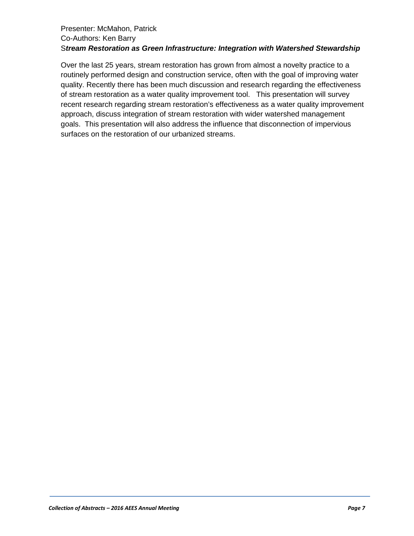#### Presenter: McMahon, Patrick Co-Authors: Ken Barry S*tream Restoration as Green Infrastructure: Integration with Watershed Stewardship*

Over the last 25 years, stream restoration has grown from almost a novelty practice to a routinely performed design and construction service, often with the goal of improving water quality. Recently there has been much discussion and research regarding the effectiveness of stream restoration as a water quality improvement tool. This presentation will survey recent research regarding stream restoration's effectiveness as a water quality improvement approach, discuss integration of stream restoration with wider watershed management goals. This presentation will also address the influence that disconnection of impervious surfaces on the restoration of our urbanized streams.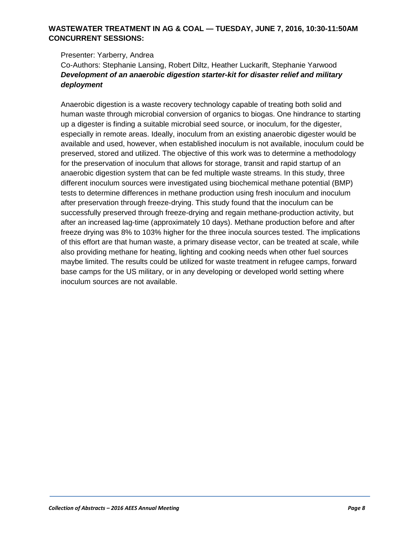## **WASTEWATER TREATMENT IN AG & COAL — TUESDAY, JUNE 7, 2016, 10:30-11:50AM CONCURRENT SESSIONS:**

#### Presenter: Yarberry, Andrea Co-Authors: Stephanie Lansing, Robert Diltz, Heather Luckarift, Stephanie Yarwood *Development of an anaerobic digestion starter-kit for disaster relief and military deployment*

Anaerobic digestion is a waste recovery technology capable of treating both solid and human waste through microbial conversion of organics to biogas. One hindrance to starting up a digester is finding a suitable microbial seed source, or inoculum, for the digester, especially in remote areas. Ideally, inoculum from an existing anaerobic digester would be available and used, however, when established inoculum is not available, inoculum could be preserved, stored and utilized. The objective of this work was to determine a methodology for the preservation of inoculum that allows for storage, transit and rapid startup of an anaerobic digestion system that can be fed multiple waste streams. In this study, three different inoculum sources were investigated using biochemical methane potential (BMP) tests to determine differences in methane production using fresh inoculum and inoculum after preservation through freeze-drying. This study found that the inoculum can be successfully preserved through freeze-drying and regain methane-production activity, but after an increased lag-time (approximately 10 days). Methane production before and after freeze drying was 8% to 103% higher for the three inocula sources tested. The implications of this effort are that human waste, a primary disease vector, can be treated at scale, while also providing methane for heating, lighting and cooking needs when other fuel sources maybe limited. The results could be utilized for waste treatment in refugee camps, forward base camps for the US military, or in any developing or developed world setting where inoculum sources are not available.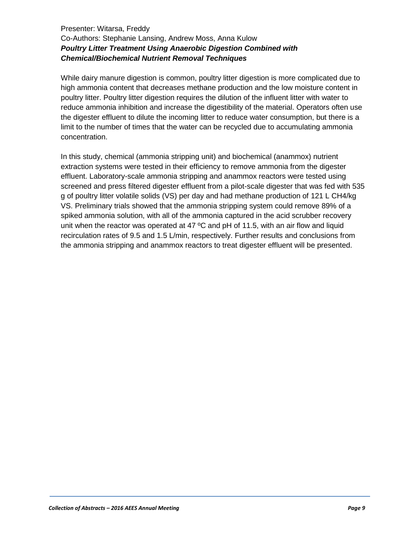## Presenter: Witarsa, Freddy Co-Authors: Stephanie Lansing, Andrew Moss, Anna Kulow *Poultry Litter Treatment Using Anaerobic Digestion Combined with Chemical/Biochemical Nutrient Removal Techniques*

While dairy manure digestion is common, poultry litter digestion is more complicated due to high ammonia content that decreases methane production and the low moisture content in poultry litter. Poultry litter digestion requires the dilution of the influent litter with water to reduce ammonia inhibition and increase the digestibility of the material. Operators often use the digester effluent to dilute the incoming litter to reduce water consumption, but there is a limit to the number of times that the water can be recycled due to accumulating ammonia concentration.

In this study, chemical (ammonia stripping unit) and biochemical (anammox) nutrient extraction systems were tested in their efficiency to remove ammonia from the digester effluent. Laboratory-scale ammonia stripping and anammox reactors were tested using screened and press filtered digester effluent from a pilot-scale digester that was fed with 535 g of poultry litter volatile solids (VS) per day and had methane production of 121 L CH4/kg VS. Preliminary trials showed that the ammonia stripping system could remove 89% of a spiked ammonia solution, with all of the ammonia captured in the acid scrubber recovery unit when the reactor was operated at 47  $\degree$ C and pH of 11.5, with an air flow and liquid recirculation rates of 9.5 and 1.5 L/min, respectively. Further results and conclusions from the ammonia stripping and anammox reactors to treat digester effluent will be presented.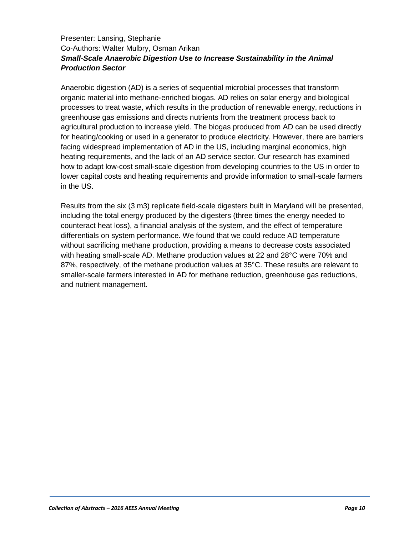## Presenter: Lansing, Stephanie Co-Authors: Walter Mulbry, Osman Arikan *Small-Scale Anaerobic Digestion Use to Increase Sustainability in the Animal Production Sector*

Anaerobic digestion (AD) is a series of sequential microbial processes that transform organic material into methane-enriched biogas. AD relies on solar energy and biological processes to treat waste, which results in the production of renewable energy, reductions in greenhouse gas emissions and directs nutrients from the treatment process back to agricultural production to increase yield. The biogas produced from AD can be used directly for heating/cooking or used in a generator to produce electricity. However, there are barriers facing widespread implementation of AD in the US, including marginal economics, high heating requirements, and the lack of an AD service sector. Our research has examined how to adapt low-cost small-scale digestion from developing countries to the US in order to lower capital costs and heating requirements and provide information to small-scale farmers in the US.

Results from the six (3 m3) replicate field-scale digesters built in Maryland will be presented, including the total energy produced by the digesters (three times the energy needed to counteract heat loss), a financial analysis of the system, and the effect of temperature differentials on system performance. We found that we could reduce AD temperature without sacrificing methane production, providing a means to decrease costs associated with heating small-scale AD. Methane production values at 22 and 28°C were 70% and 87%, respectively, of the methane production values at 35°C. These results are relevant to smaller-scale farmers interested in AD for methane reduction, greenhouse gas reductions, and nutrient management.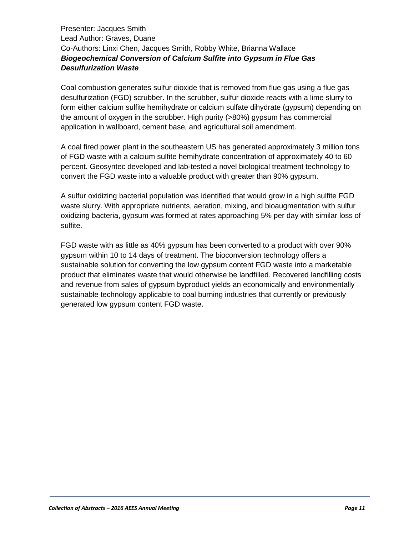Presenter: Jacques Smith Lead Author: Graves, Duane Co-Authors: Linxi Chen, Jacques Smith, Robby White, Brianna Wallace *Biogeochemical Conversion of Calcium Sulfite into Gypsum in Flue Gas Desulfurization Waste*

Coal combustion generates sulfur dioxide that is removed from flue gas using a flue gas desulfurization (FGD) scrubber. In the scrubber, sulfur dioxide reacts with a lime slurry to form either calcium sulfite hemihydrate or calcium sulfate dihydrate (gypsum) depending on the amount of oxygen in the scrubber. High purity (>80%) gypsum has commercial application in wallboard, cement base, and agricultural soil amendment.

A coal fired power plant in the southeastern US has generated approximately 3 million tons of FGD waste with a calcium sulfite hemihydrate concentration of approximately 40 to 60 percent. Geosyntec developed and lab-tested a novel biological treatment technology to convert the FGD waste into a valuable product with greater than 90% gypsum.

A sulfur oxidizing bacterial population was identified that would grow in a high sulfite FGD waste slurry. With appropriate nutrients, aeration, mixing, and bioaugmentation with sulfur oxidizing bacteria, gypsum was formed at rates approaching 5% per day with similar loss of sulfite.

FGD waste with as little as 40% gypsum has been converted to a product with over 90% gypsum within 10 to 14 days of treatment. The bioconversion technology offers a sustainable solution for converting the low gypsum content FGD waste into a marketable product that eliminates waste that would otherwise be landfilled. Recovered landfilling costs and revenue from sales of gypsum byproduct yields an economically and environmentally sustainable technology applicable to coal burning industries that currently or previously generated low gypsum content FGD waste.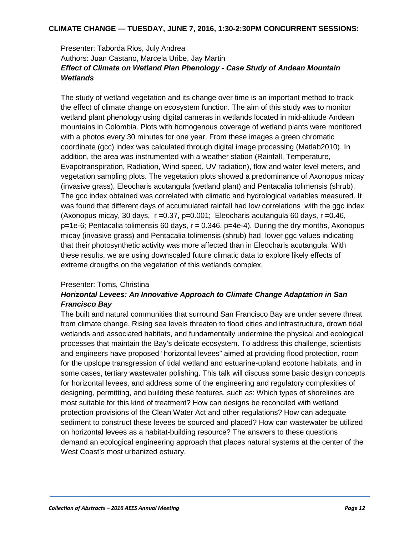#### **CLIMATE CHANGE — TUESDAY, JUNE 7, 2016, 1:30-2:30PM CONCURRENT SESSIONS:**

## Presenter: Taborda Rios, July Andrea Authors: Juan Castano, Marcela Uribe, Jay Martin *Effect of Climate on Wetland Plan Phenology - Case Study of Andean Mountain Wetlands*

The study of wetland vegetation and its change over time is an important method to track the effect of climate change on ecosystem function. The aim of this study was to monitor wetland plant phenology using digital cameras in wetlands located in mid-altitude Andean mountains in Colombia. Plots with homogenous coverage of wetland plants were monitored with a photos every 30 minutes for one year. From these images a green chromatic coordinate (gcc) index was calculated through digital image processing (Matlab2010). In addition, the area was instrumented with a weather station (Rainfall, Temperature, Evapotranspiration, Radiation, Wind speed, UV radiation), flow and water level meters, and vegetation sampling plots. The vegetation plots showed a predominance of Axonopus micay (invasive grass), Eleocharis acutangula (wetland plant) and Pentacalia tolimensis (shrub). The gcc index obtained was correlated with climatic and hydrological variables measured. It was found that different days of accumulated rainfall had low correlations with the ggc index (Axonopus micay, 30 days,  $r = 0.37$ ,  $p = 0.001$ ; Eleocharis acutangula 60 days,  $r = 0.46$ ,  $p=1e-6$ ; Pentacalia tolimensis 60 days,  $r = 0.346$ ,  $p=4e-4$ ). During the dry months, Axonopus micay (invasive grass) and Pentacalia tolimensis (shrub) had lower ggc values indicating that their photosynthetic activity was more affected than in Eleocharis acutangula. With these results, we are using downscaled future climatic data to explore likely effects of extreme drougths on the vegetation of this wetlands complex.

#### Presenter: Toms, Christina

## *Horizontal Levees: An Innovative Approach to Climate Change Adaptation in San Francisco Bay*

The built and natural communities that surround San Francisco Bay are under severe threat from climate change. Rising sea levels threaten to flood cities and infrastructure, drown tidal wetlands and associated habitats, and fundamentally undermine the physical and ecological processes that maintain the Bay's delicate ecosystem. To address this challenge, scientists and engineers have proposed "horizontal levees" aimed at providing flood protection, room for the upslope transgression of tidal wetland and estuarine-upland ecotone habitats, and in some cases, tertiary wastewater polishing. This talk will discuss some basic design concepts for horizontal levees, and address some of the engineering and regulatory complexities of designing, permitting, and building these features, such as: Which types of shorelines are most suitable for this kind of treatment? How can designs be reconciled with wetland protection provisions of the Clean Water Act and other regulations? How can adequate sediment to construct these levees be sourced and placed? How can wastewater be utilized on horizontal levees as a habitat-building resource? The answers to these questions demand an ecological engineering approach that places natural systems at the center of the West Coast's most urbanized estuary.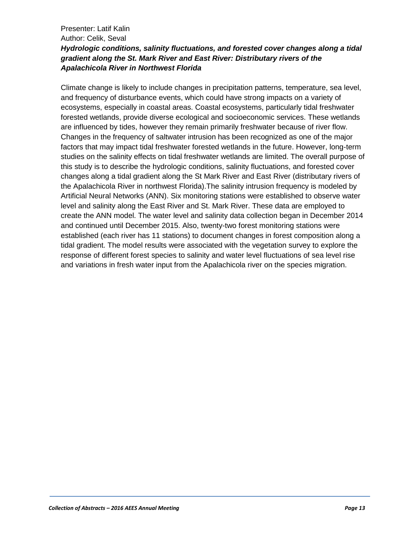#### Presenter: Latif Kalin Author: Celik, Seval *Hydrologic conditions, salinity fluctuations, and forested cover changes along a tidal gradient along the St. Mark River and East River: Distributary rivers of the Apalachicola River in Northwest Florida*

Climate change is likely to include changes in precipitation patterns, temperature, sea level, and frequency of disturbance events, which could have strong impacts on a variety of ecosystems, especially in coastal areas. Coastal ecosystems, particularly tidal freshwater forested wetlands, provide diverse ecological and socioeconomic services. These wetlands are influenced by tides, however they remain primarily freshwater because of river flow. Changes in the frequency of saltwater intrusion has been recognized as one of the major factors that may impact tidal freshwater forested wetlands in the future. However, long-term studies on the salinity effects on tidal freshwater wetlands are limited. The overall purpose of this study is to describe the hydrologic conditions, salinity fluctuations, and forested cover changes along a tidal gradient along the St Mark River and East River (distributary rivers of the Apalachicola River in northwest Florida).The salinity intrusion frequency is modeled by Artificial Neural Networks (ANN). Six monitoring stations were established to observe water level and salinity along the East River and St. Mark River. These data are employed to create the ANN model. The water level and salinity data collection began in December 2014 and continued until December 2015. Also, twenty-two forest monitoring stations were established (each river has 11 stations) to document changes in forest composition along a tidal gradient. The model results were associated with the vegetation survey to explore the response of different forest species to salinity and water level fluctuations of sea level rise and variations in fresh water input from the Apalachicola river on the species migration.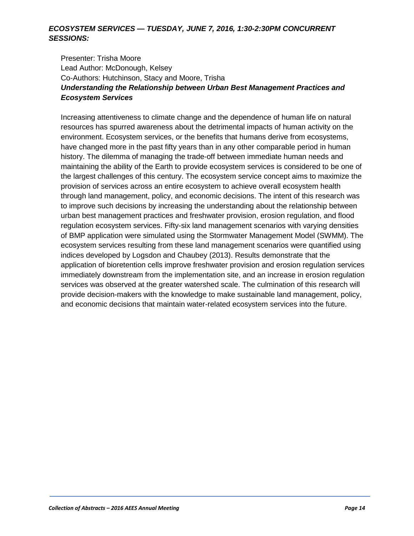#### *ECOSYSTEM SERVICES — TUESDAY, JUNE 7, 2016, 1:30-2:30PM CONCURRENT SESSIONS:*

Presenter: Trisha Moore Lead Author: McDonough, Kelsey Co-Authors: Hutchinson, Stacy and Moore, Trisha *Understanding the Relationship between Urban Best Management Practices and Ecosystem Services*

Increasing attentiveness to climate change and the dependence of human life on natural resources has spurred awareness about the detrimental impacts of human activity on the environment. Ecosystem services, or the benefits that humans derive from ecosystems, have changed more in the past fifty years than in any other comparable period in human history. The dilemma of managing the trade-off between immediate human needs and maintaining the ability of the Earth to provide ecosystem services is considered to be one of the largest challenges of this century. The ecosystem service concept aims to maximize the provision of services across an entire ecosystem to achieve overall ecosystem health through land management, policy, and economic decisions. The intent of this research was to improve such decisions by increasing the understanding about the relationship between urban best management practices and freshwater provision, erosion regulation, and flood regulation ecosystem services. Fifty-six land management scenarios with varying densities of BMP application were simulated using the Stormwater Management Model (SWMM). The ecosystem services resulting from these land management scenarios were quantified using indices developed by Logsdon and Chaubey (2013). Results demonstrate that the application of bioretention cells improve freshwater provision and erosion regulation services immediately downstream from the implementation site, and an increase in erosion regulation services was observed at the greater watershed scale. The culmination of this research will provide decision-makers with the knowledge to make sustainable land management, policy, and economic decisions that maintain water-related ecosystem services into the future.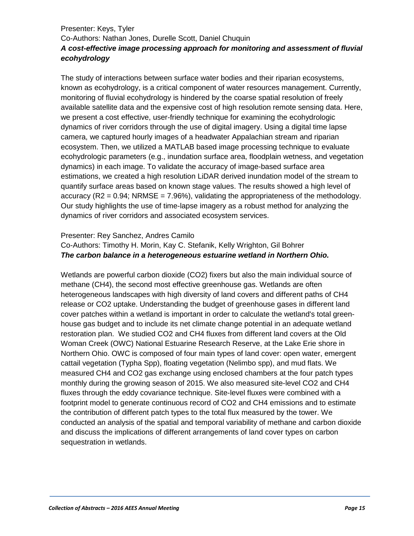## Presenter: Keys, Tyler Co-Authors: Nathan Jones, Durelle Scott, Daniel Chuquin *A cost-effective image processing approach for monitoring and assessment of fluvial ecohydrology*

The study of interactions between surface water bodies and their riparian ecosystems, known as ecohydrology, is a critical component of water resources management. Currently, monitoring of fluvial ecohydrology is hindered by the coarse spatial resolution of freely available satellite data and the expensive cost of high resolution remote sensing data. Here, we present a cost effective, user-friendly technique for examining the ecohydrologic dynamics of river corridors through the use of digital imagery. Using a digital time lapse camera, we captured hourly images of a headwater Appalachian stream and riparian ecosystem. Then, we utilized a MATLAB based image processing technique to evaluate ecohydrologic parameters (e.g., inundation surface area, floodplain wetness, and vegetation dynamics) in each image. To validate the accuracy of image-based surface area estimations, we created a high resolution LiDAR derived inundation model of the stream to quantify surface areas based on known stage values. The results showed a high level of accuracy  $(R2 = 0.94$ ; NRMSE = 7.96%), validating the appropriateness of the methodology. Our study highlights the use of time-lapse imagery as a robust method for analyzing the dynamics of river corridors and associated ecosystem services.

#### Presenter: Rey Sanchez, Andres Camilo

#### Co-Authors: Timothy H. Morin, Kay C. Stefanik, Kelly Wrighton, Gil Bohrer *The carbon balance in a heterogeneous estuarine wetland in Northern Ohio.*

Wetlands are powerful carbon dioxide (CO2) fixers but also the main individual source of methane (CH4), the second most effective greenhouse gas. Wetlands are often heterogeneous landscapes with high diversity of land covers and different paths of CH4 release or CO2 uptake. Understanding the budget of greenhouse gases in different land cover patches within a wetland is important in order to calculate the wetland's total greenhouse gas budget and to include its net climate change potential in an adequate wetland restoration plan. We studied CO2 and CH4 fluxes from different land covers at the Old Woman Creek (OWC) National Estuarine Research Reserve, at the Lake Erie shore in Northern Ohio. OWC is composed of four main types of land cover: open water, emergent cattail vegetation (Typha Spp), floating vegetation (Nelimbo spp), and mud flats. We measured CH4 and CO2 gas exchange using enclosed chambers at the four patch types monthly during the growing season of 2015. We also measured site-level CO2 and CH4 fluxes through the eddy covariance technique. Site-level fluxes were combined with a footprint model to generate continuous record of CO2 and CH4 emissions and to estimate the contribution of different patch types to the total flux measured by the tower. We conducted an analysis of the spatial and temporal variability of methane and carbon dioxide and discuss the implications of different arrangements of land cover types on carbon sequestration in wetlands.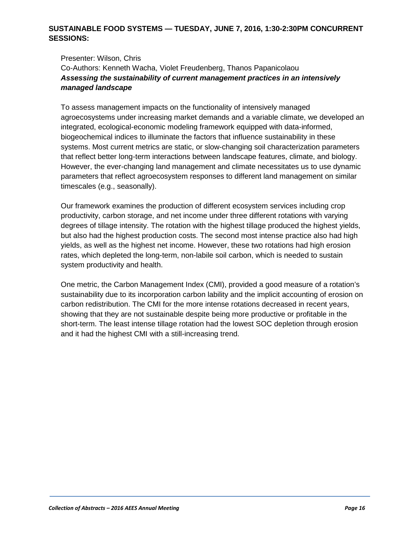## **SUSTAINABLE FOOD SYSTEMS — TUESDAY, JUNE 7, 2016, 1:30-2:30PM CONCURRENT SESSIONS:**

Presenter: Wilson, Chris Co-Authors: Kenneth Wacha, Violet Freudenberg, Thanos Papanicolaou *Assessing the sustainability of current management practices in an intensively managed landscape*

To assess management impacts on the functionality of intensively managed agroecosystems under increasing market demands and a variable climate, we developed an integrated, ecological-economic modeling framework equipped with data-informed, biogeochemical indices to illuminate the factors that influence sustainability in these systems. Most current metrics are static, or slow-changing soil characterization parameters that reflect better long-term interactions between landscape features, climate, and biology. However, the ever-changing land management and climate necessitates us to use dynamic parameters that reflect agroecosystem responses to different land management on similar timescales (e.g., seasonally).

Our framework examines the production of different ecosystem services including crop productivity, carbon storage, and net income under three different rotations with varying degrees of tillage intensity. The rotation with the highest tillage produced the highest yields, but also had the highest production costs. The second most intense practice also had high yields, as well as the highest net income. However, these two rotations had high erosion rates, which depleted the long-term, non-labile soil carbon, which is needed to sustain system productivity and health.

One metric, the Carbon Management Index (CMI), provided a good measure of a rotation's sustainability due to its incorporation carbon lability and the implicit accounting of erosion on carbon redistribution. The CMI for the more intense rotations decreased in recent years, showing that they are not sustainable despite being more productive or profitable in the short-term. The least intense tillage rotation had the lowest SOC depletion through erosion and it had the highest CMI with a still-increasing trend.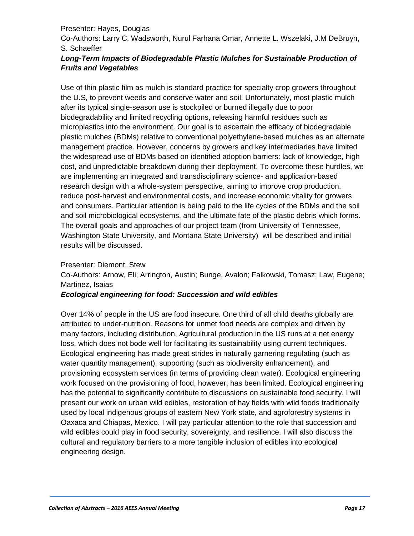#### Presenter: Hayes, Douglas

Co-Authors: Larry C. Wadsworth, Nurul Farhana Omar, Annette L. Wszelaki, J.M DeBruyn, S. Schaeffer

#### Long-Term Impacts of Biodegradable Plastic Mulches for Sustainable Production of *Fruits and Vegetables*

Use of thin plastic film as mulch is standard practice for specialty crop growers throughout the U.S, to prevent weeds and conserve water and soil. Unfortunately, most plastic mulch after its typical single-season use is stockpiled or burned illegally due to poor biodegradability and limited recycling options, releasing harmful residues such as microplastics into the environment. Our goal is to ascertain the efficacy of biodegradable plastic mulches (BDMs) relative to conventional polyethylene-based mulches as an alternate management practice. However, concerns by growers and key intermediaries have limited the widespread use of BDMs based on identified adoption barriers: lack of knowledge, high cost, and unpredictable breakdown during their deployment. To overcome these hurdles, we are implementing an integrated and transdisciplinary science- and application-based research design with a whole-system perspective, aiming to improve crop production, reduce post-harvest and environmental costs, and increase economic vitality for growers and consumers. Particular attention is being paid to the life cycles of the BDMs and the soil and soil microbiological ecosystems, and the ultimate fate of the plastic debris which forms. The overall goals and approaches of our project team (from University of Tennessee, Washington State University, and Montana State University) will be described and initial results will be discussed.

#### Presenter: Diemont, Stew

Co-Authors: Arnow, Eli; Arrington, Austin; Bunge, Avalon; Falkowski, Tomasz; Law, Eugene; Martinez, Isaias

#### *Ecological engineering for food: Succession and wild edibles*

Over 14% of people in the US are food insecure. One third of all child deaths globally are attributed to under-nutrition. Reasons for unmet food needs are complex and driven by many factors, including distribution. Agricultural production in the US runs at a net energy loss, which does not bode well for facilitating its sustainability using current techniques. Ecological engineering has made great strides in naturally garnering regulating (such as water quantity management), supporting (such as biodiversity enhancement), and provisioning ecosystem services (in terms of providing clean water). Ecological engineering work focused on the provisioning of food, however, has been limited. Ecological engineering has the potential to significantly contribute to discussions on sustainable food security. I will present our work on urban wild edibles, restoration of hay fields with wild foods traditionally used by local indigenous groups of eastern New York state, and agroforestry systems in Oaxaca and Chiapas, Mexico. I will pay particular attention to the role that succession and wild edibles could play in food security, sovereignty, and resilience. I will also discuss the cultural and regulatory barriers to a more tangible inclusion of edibles into ecological engineering design.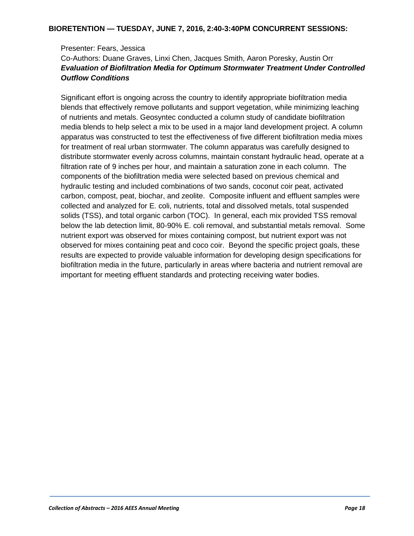#### Presenter: Fears, Jessica

## Co-Authors: Duane Graves, Linxi Chen, Jacques Smith, Aaron Poresky, Austin Orr *Evaluation of Biofiltration Media for Optimum Stormwater Treatment Under Controlled Outflow Conditions*

Significant effort is ongoing across the country to identify appropriate biofiltration media blends that effectively remove pollutants and support vegetation, while minimizing leaching of nutrients and metals. Geosyntec conducted a column study of candidate biofiltration media blends to help select a mix to be used in a major land development project. A column apparatus was constructed to test the effectiveness of five different biofiltration media mixes for treatment of real urban stormwater. The column apparatus was carefully designed to distribute stormwater evenly across columns, maintain constant hydraulic head, operate at a filtration rate of 9 inches per hour, and maintain a saturation zone in each column. The components of the biofiltration media were selected based on previous chemical and hydraulic testing and included combinations of two sands, coconut coir peat, activated carbon, compost, peat, biochar, and zeolite. Composite influent and effluent samples were collected and analyzed for E. coli, nutrients, total and dissolved metals, total suspended solids (TSS), and total organic carbon (TOC). In general, each mix provided TSS removal below the lab detection limit, 80-90% E. coli removal, and substantial metals removal. Some nutrient export was observed for mixes containing compost, but nutrient export was not observed for mixes containing peat and coco coir. Beyond the specific project goals, these results are expected to provide valuable information for developing design specifications for biofiltration media in the future, particularly in areas where bacteria and nutrient removal are important for meeting effluent standards and protecting receiving water bodies.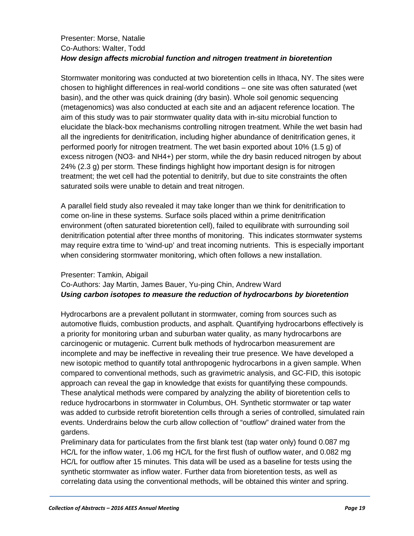#### Presenter: Morse, Natalie Co-Authors: Walter, Todd *How design affects microbial function and nitrogen treatment in bioretention*

Stormwater monitoring was conducted at two bioretention cells in Ithaca, NY. The sites were chosen to highlight differences in real-world conditions – one site was often saturated (wet basin), and the other was quick draining (dry basin). Whole soil genomic sequencing (metagenomics) was also conducted at each site and an adjacent reference location. The aim of this study was to pair stormwater quality data with in-situ microbial function to elucidate the black-box mechanisms controlling nitrogen treatment. While the wet basin had all the ingredients for denitrification, including higher abundance of denitrification genes, it performed poorly for nitrogen treatment. The wet basin exported about 10% (1.5 g) of excess nitrogen (NO3- and NH4+) per storm, while the dry basin reduced nitrogen by about 24% (2.3 g) per storm. These findings highlight how important design is for nitrogen treatment; the wet cell had the potential to denitrify, but due to site constraints the often saturated soils were unable to detain and treat nitrogen.

A parallel field study also revealed it may take longer than we think for denitrification to come on-line in these systems. Surface soils placed within a prime denitrification environment (often saturated bioretention cell), failed to equilibrate with surrounding soil denitrification potential after three months of monitoring. This indicates stormwater systems may require extra time to 'wind-up' and treat incoming nutrients. This is especially important when considering stormwater monitoring, which often follows a new installation.

#### Presenter: Tamkin, Abigail

## Co-Authors: Jay Martin, James Bauer, Yu-ping Chin, Andrew Ward *Using carbon isotopes to measure the reduction of hydrocarbons by bioretention*

Hydrocarbons are a prevalent pollutant in stormwater, coming from sources such as automotive fluids, combustion products, and asphalt. Quantifying hydrocarbons effectively is a priority for monitoring urban and suburban water quality, as many hydrocarbons are carcinogenic or mutagenic. Current bulk methods of hydrocarbon measurement are incomplete and may be ineffective in revealing their true presence. We have developed a new isotopic method to quantify total anthropogenic hydrocarbons in a given sample. When compared to conventional methods, such as gravimetric analysis, and GC-FID, this isotopic approach can reveal the gap in knowledge that exists for quantifying these compounds. These analytical methods were compared by analyzing the ability of bioretention cells to reduce hydrocarbons in stormwater in Columbus, OH. Synthetic stormwater or tap water was added to curbside retrofit bioretention cells through a series of controlled, simulated rain events. Underdrains below the curb allow collection of "outflow" drained water from the gardens.

Preliminary data for particulates from the first blank test (tap water only) found 0.087 mg HC/L for the inflow water, 1.06 mg HC/L for the first flush of outflow water, and 0.082 mg HC/L for outflow after 15 minutes. This data will be used as a baseline for tests using the synthetic stormwater as inflow water. Further data from bioretention tests, as well as correlating data using the conventional methods, will be obtained this winter and spring.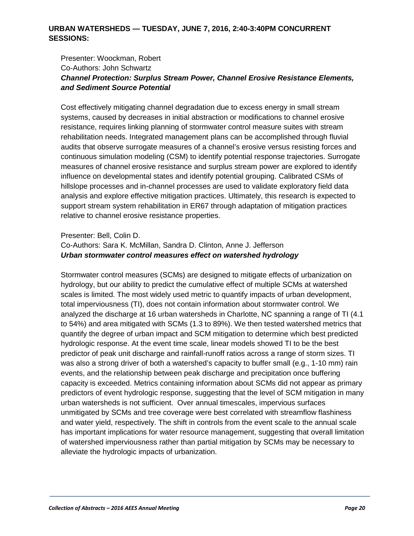#### **URBAN WATERSHEDS — TUESDAY, JUNE 7, 2016, 2:40-3:40PM CONCURRENT SESSIONS:**

## Presenter: Woockman, Robert Co-Authors: John Schwartz *Channel Protection: Surplus Stream Power, Channel Erosive Resistance Elements, and Sediment Source Potential*

Cost effectively mitigating channel degradation due to excess energy in small stream systems, caused by decreases in initial abstraction or modifications to channel erosive resistance, requires linking planning of stormwater control measure suites with stream rehabilitation needs. Integrated management plans can be accomplished through fluvial audits that observe surrogate measures of a channel's erosive versus resisting forces and continuous simulation modeling (CSM) to identify potential response trajectories. Surrogate measures of channel erosive resistance and surplus stream power are explored to identify influence on developmental states and identify potential grouping. Calibrated CSMs of hillslope processes and in-channel processes are used to validate exploratory field data analysis and explore effective mitigation practices. Ultimately, this research is expected to support stream system rehabilitation in ER67 through adaptation of mitigation practices relative to channel erosive resistance properties.

#### Presenter: Bell, Colin D.

#### Co-Authors: Sara K. McMillan, Sandra D. Clinton, Anne J. Jefferson *Urban stormwater control measures effect on watershed hydrology*

Stormwater control measures (SCMs) are designed to mitigate effects of urbanization on hydrology, but our ability to predict the cumulative effect of multiple SCMs at watershed scales is limited. The most widely used metric to quantify impacts of urban development, total imperviousness (TI), does not contain information about stormwater control. We analyzed the discharge at 16 urban watersheds in Charlotte, NC spanning a range of TI (4.1 to 54%) and area mitigated with SCMs (1.3 to 89%). We then tested watershed metrics that quantify the degree of urban impact and SCM mitigation to determine which best predicted hydrologic response. At the event time scale, linear models showed TI to be the best predictor of peak unit discharge and rainfall-runoff ratios across a range of storm sizes. TI was also a strong driver of both a watershed's capacity to buffer small (e.g., 1-10 mm) rain events, and the relationship between peak discharge and precipitation once buffering capacity is exceeded. Metrics containing information about SCMs did not appear as primary predictors of event hydrologic response, suggesting that the level of SCM mitigation in many urban watersheds is not sufficient. Over annual timescales, impervious surfaces unmitigated by SCMs and tree coverage were best correlated with streamflow flashiness and water yield, respectively. The shift in controls from the event scale to the annual scale has important implications for water resource management, suggesting that overall limitation of watershed imperviousness rather than partial mitigation by SCMs may be necessary to alleviate the hydrologic impacts of urbanization.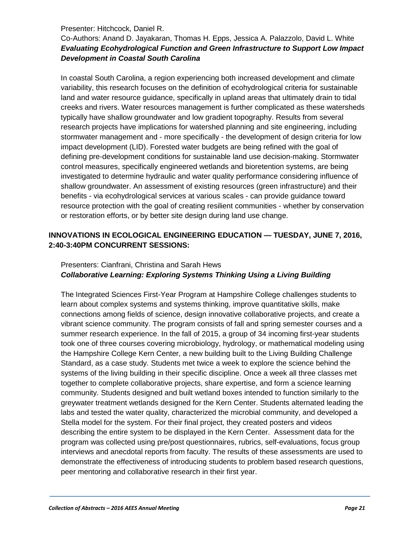#### Presenter: Hitchcock, Daniel R.

## Co-Authors: Anand D. Jayakaran, Thomas H. Epps, Jessica A. Palazzolo, David L. White *Evaluating Ecohydrological Function and Green Infrastructure to Support Low Impact Development in Coastal South Carolina*

In coastal South Carolina, a region experiencing both increased development and climate variability, this research focuses on the definition of ecohydrological criteria for sustainable land and water resource guidance, specifically in upland areas that ultimately drain to tidal creeks and rivers. Water resources management is further complicated as these watersheds typically have shallow groundwater and low gradient topography. Results from several research projects have implications for watershed planning and site engineering, including stormwater management and - more specifically - the development of design criteria for low impact development (LID). Forested water budgets are being refined with the goal of defining pre-development conditions for sustainable land use decision-making. Stormwater control measures, specifically engineered wetlands and bioretention systems, are being investigated to determine hydraulic and water quality performance considering influence of shallow groundwater. An assessment of existing resources (green infrastructure) and their benefits - via ecohydrological services at various scales - can provide guidance toward resource protection with the goal of creating resilient communities - whether by conservation or restoration efforts, or by better site design during land use change.

## **INNOVATIONS IN ECOLOGICAL ENGINEERING EDUCATION — TUESDAY, JUNE 7, 2016, 2:40-3:40PM CONCURRENT SESSIONS:**

## Presenters: Cianfrani, Christina and Sarah Hews *Collaborative Learning: Exploring Systems Thinking Using a Living Building*

The Integrated Sciences First-Year Program at Hampshire College challenges students to learn about complex systems and systems thinking, improve quantitative skills, make connections among fields of science, design innovative collaborative projects, and create a vibrant science community. The program consists of fall and spring semester courses and a summer research experience. In the fall of 2015, a group of 34 incoming first-year students took one of three courses covering microbiology, hydrology, or mathematical modeling using the Hampshire College Kern Center, a new building built to the Living Building Challenge Standard, as a case study. Students met twice a week to explore the science behind the systems of the living building in their specific discipline. Once a week all three classes met together to complete collaborative projects, share expertise, and form a science learning community. Students designed and built wetland boxes intended to function similarly to the greywater treatment wetlands designed for the Kern Center. Students alternated leading the labs and tested the water quality, characterized the microbial community, and developed a Stella model for the system. For their final project, they created posters and videos describing the entire system to be displayed in the Kern Center. Assessment data for the program was collected using pre/post questionnaires, rubrics, self-evaluations, focus group interviews and anecdotal reports from faculty. The results of these assessments are used to demonstrate the effectiveness of introducing students to problem based research questions, peer mentoring and collaborative research in their first year.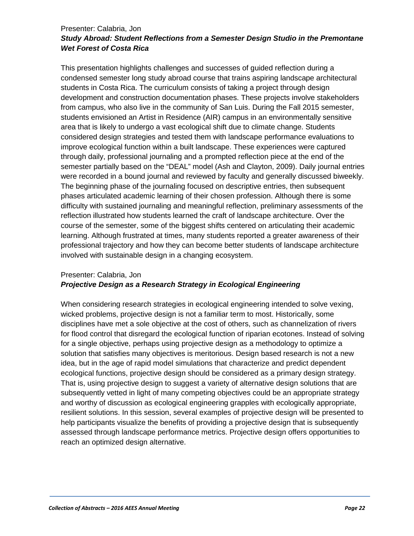#### Presenter: Calabria, Jon *Study Abroad: Student Reflections from a Semester Design Studio in the Premontane Wet Forest of Costa Rica*

This presentation highlights challenges and successes of guided reflection during a condensed semester long study abroad course that trains aspiring landscape architectural students in Costa Rica. The curriculum consists of taking a project through design development and construction documentation phases. These projects involve stakeholders from campus, who also live in the community of San Luis. During the Fall 2015 semester, students envisioned an Artist in Residence (AIR) campus in an environmentally sensitive area that is likely to undergo a vast ecological shift due to climate change. Students considered design strategies and tested them with landscape performance evaluations to improve ecological function within a built landscape. These experiences were captured through daily, professional journaling and a prompted reflection piece at the end of the semester partially based on the "DEAL" model (Ash and Clayton, 2009). Daily journal entries were recorded in a bound journal and reviewed by faculty and generally discussed biweekly. The beginning phase of the journaling focused on descriptive entries, then subsequent phases articulated academic learning of their chosen profession. Although there is some difficulty with sustained journaling and meaningful reflection, preliminary assessments of the reflection illustrated how students learned the craft of landscape architecture. Over the course of the semester, some of the biggest shifts centered on articulating their academic learning. Although frustrated at times, many students reported a greater awareness of their professional trajectory and how they can become better students of landscape architecture involved with sustainable design in a changing ecosystem.

## Presenter: Calabria, Jon

## *Projective Design as a Research Strategy in Ecological Engineering*

When considering research strategies in ecological engineering intended to solve vexing, wicked problems, projective design is not a familiar term to most. Historically, some disciplines have met a sole objective at the cost of others, such as channelization of rivers for flood control that disregard the ecological function of riparian ecotones. Instead of solving for a single objective, perhaps using projective design as a methodology to optimize a solution that satisfies many objectives is meritorious. Design based research is not a new idea, but in the age of rapid model simulations that characterize and predict dependent ecological functions, projective design should be considered as a primary design strategy. That is, using projective design to suggest a variety of alternative design solutions that are subsequently vetted in light of many competing objectives could be an appropriate strategy and worthy of discussion as ecological engineering grapples with ecologically appropriate, resilient solutions. In this session, several examples of projective design will be presented to help participants visualize the benefits of providing a projective design that is subsequently assessed through landscape performance metrics. Projective design offers opportunities to reach an optimized design alternative.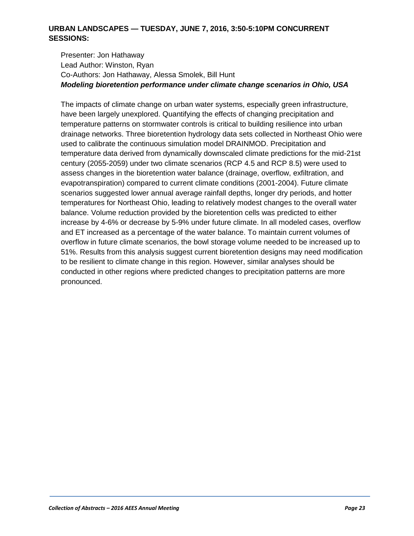#### **URBAN LANDSCAPES — TUESDAY, JUNE 7, 2016, 3:50-5:10PM CONCURRENT SESSIONS:**

Presenter: Jon Hathaway Lead Author: Winston, Ryan Co-Authors: Jon Hathaway, Alessa Smolek, Bill Hunt *Modeling bioretention performance under climate change scenarios in Ohio, USA*

The impacts of climate change on urban water systems, especially green infrastructure, have been largely unexplored. Quantifying the effects of changing precipitation and temperature patterns on stormwater controls is critical to building resilience into urban drainage networks. Three bioretention hydrology data sets collected in Northeast Ohio were used to calibrate the continuous simulation model DRAINMOD. Precipitation and temperature data derived from dynamically downscaled climate predictions for the mid-21st century (2055-2059) under two climate scenarios (RCP 4.5 and RCP 8.5) were used to assess changes in the bioretention water balance (drainage, overflow, exfiltration, and evapotranspiration) compared to current climate conditions (2001-2004). Future climate scenarios suggested lower annual average rainfall depths, longer dry periods, and hotter temperatures for Northeast Ohio, leading to relatively modest changes to the overall water balance. Volume reduction provided by the bioretention cells was predicted to either increase by 4-6% or decrease by 5-9% under future climate. In all modeled cases, overflow and ET increased as a percentage of the water balance. To maintain current volumes of overflow in future climate scenarios, the bowl storage volume needed to be increased up to 51%. Results from this analysis suggest current bioretention designs may need modification to be resilient to climate change in this region. However, similar analyses should be conducted in other regions where predicted changes to precipitation patterns are more pronounced.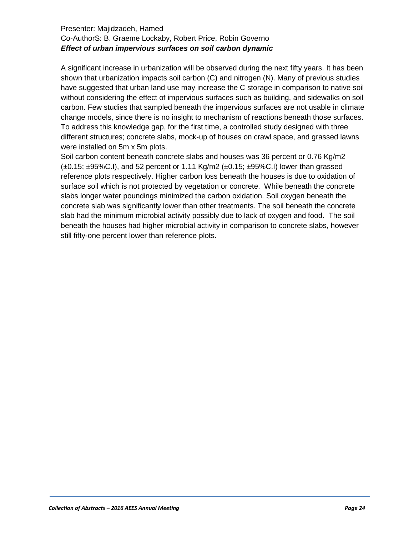#### Presenter: Majidzadeh, Hamed Co-AuthorS: B. Graeme Lockaby, Robert Price, Robin Governo *Effect of urban impervious surfaces on soil carbon dynamic*

A significant increase in urbanization will be observed during the next fifty years. It has been shown that urbanization impacts soil carbon (C) and nitrogen (N). Many of previous studies have suggested that urban land use may increase the C storage in comparison to native soil without considering the effect of impervious surfaces such as building, and sidewalks on soil carbon. Few studies that sampled beneath the impervious surfaces are not usable in climate change models, since there is no insight to mechanism of reactions beneath those surfaces. To address this knowledge gap, for the first time, a controlled study designed with three different structures; concrete slabs, mock-up of houses on crawl space, and grassed lawns were installed on 5m x 5m plots.

Soil carbon content beneath concrete slabs and houses was 36 percent or 0.76 Kg/m2  $(\pm 0.15; \pm 95\% \text{C}$ .I), and 52 percent or 1.11 Kg/m2 ( $\pm 0.15; \pm 95\% \text{C}$ .I) lower than grassed reference plots respectively. Higher carbon loss beneath the houses is due to oxidation of surface soil which is not protected by vegetation or concrete. While beneath the concrete slabs longer water poundings minimized the carbon oxidation. Soil oxygen beneath the concrete slab was significantly lower than other treatments. The soil beneath the concrete slab had the minimum microbial activity possibly due to lack of oxygen and food. The soil beneath the houses had higher microbial activity in comparison to concrete slabs, however still fifty-one percent lower than reference plots.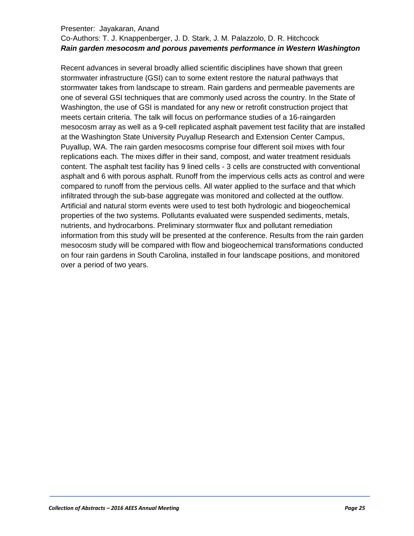#### Presenter: Jayakaran, Anand

## Co-Authors: T. J. Knappenberger, J. D. Stark, J. M. Palazzolo, D. R. Hitchcock *Rain garden mesocosm and porous pavements performance in Western Washington*

Recent advances in several broadly allied scientific disciplines have shown that green stormwater infrastructure (GSI) can to some extent restore the natural pathways that stormwater takes from landscape to stream. Rain gardens and permeable pavements are one of several GSI techniques that are commonly used across the country. In the State of Washington, the use of GSI is mandated for any new or retrofit construction project that meets certain criteria. The talk will focus on performance studies of a 16-raingarden mesocosm array as well as a 9-cell replicated asphalt pavement test facility that are installed at the Washington State University Puyallup Research and Extension Center Campus, Puyallup, WA. The rain garden mesocosms comprise four different soil mixes with four replications each. The mixes differ in their sand, compost, and water treatment residuals content. The asphalt test facility has 9 lined cells - 3 cells are constructed with conventional asphalt and 6 with porous asphalt. Runoff from the impervious cells acts as control and were compared to runoff from the pervious cells. All water applied to the surface and that which infiltrated through the sub-base aggregate was monitored and collected at the outflow. Artificial and natural storm events were used to test both hydrologic and biogeochemical properties of the two systems. Pollutants evaluated were suspended sediments, metals, nutrients, and hydrocarbons. Preliminary stormwater flux and pollutant remediation information from this study will be presented at the conference. Results from the rain garden mesocosm study will be compared with flow and biogeochemical transformations conducted on four rain gardens in South Carolina, installed in four landscape positions, and monitored over a period of two years.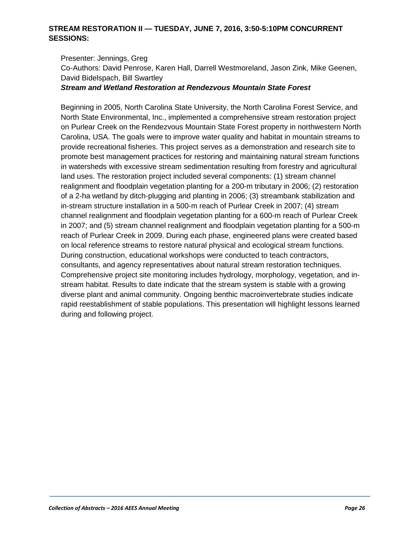#### **STREAM RESTORATION II — TUESDAY, JUNE 7, 2016, 3:50-5:10PM CONCURRENT SESSIONS:**

Presenter: Jennings, Greg Co-Authors: David Penrose, Karen Hall, Darrell Westmoreland, Jason Zink, Mike Geenen, David Bidelspach, Bill Swartley

*Stream and Wetland Restoration at Rendezvous Mountain State Forest*

Beginning in 2005, North Carolina State University, the North Carolina Forest Service, and North State Environmental, Inc., implemented a comprehensive stream restoration project on Purlear Creek on the Rendezvous Mountain State Forest property in northwestern North Carolina, USA. The goals were to improve water quality and habitat in mountain streams to provide recreational fisheries. This project serves as a demonstration and research site to promote best management practices for restoring and maintaining natural stream functions in watersheds with excessive stream sedimentation resulting from forestry and agricultural land uses. The restoration project included several components: (1) stream channel realignment and floodplain vegetation planting for a 200-m tributary in 2006; (2) restoration of a 2-ha wetland by ditch-plugging and planting in 2006; (3) streambank stabilization and in-stream structure installation in a 500-m reach of Purlear Creek in 2007; (4) stream channel realignment and floodplain vegetation planting for a 600-m reach of Purlear Creek in 2007; and (5) stream channel realignment and floodplain vegetation planting for a 500-m reach of Purlear Creek in 2009. During each phase, engineered plans were created based on local reference streams to restore natural physical and ecological stream functions. During construction, educational workshops were conducted to teach contractors, consultants, and agency representatives about natural stream restoration techniques. Comprehensive project site monitoring includes hydrology, morphology, vegetation, and instream habitat. Results to date indicate that the stream system is stable with a growing diverse plant and animal community. Ongoing benthic macroinvertebrate studies indicate rapid reestablishment of stable populations. This presentation will highlight lessons learned during and following project.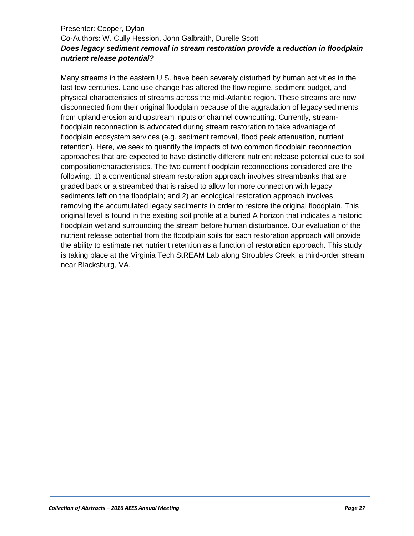## Presenter: Cooper, Dylan Co-Authors: W. Cully Hession, John Galbraith, Durelle Scott *Does legacy sediment removal in stream restoration provide a reduction in floodplain nutrient release potential?*

Many streams in the eastern U.S. have been severely disturbed by human activities in the last few centuries. Land use change has altered the flow regime, sediment budget, and physical characteristics of streams across the mid-Atlantic region. These streams are now disconnected from their original floodplain because of the aggradation of legacy sediments from upland erosion and upstream inputs or channel downcutting. Currently, streamfloodplain reconnection is advocated during stream restoration to take advantage of floodplain ecosystem services (e.g. sediment removal, flood peak attenuation, nutrient retention). Here, we seek to quantify the impacts of two common floodplain reconnection approaches that are expected to have distinctly different nutrient release potential due to soil composition/characteristics. The two current floodplain reconnections considered are the following: 1) a conventional stream restoration approach involves streambanks that are graded back or a streambed that is raised to allow for more connection with legacy sediments left on the floodplain; and 2) an ecological restoration approach involves removing the accumulated legacy sediments in order to restore the original floodplain. This original level is found in the existing soil profile at a buried A horizon that indicates a historic floodplain wetland surrounding the stream before human disturbance. Our evaluation of the nutrient release potential from the floodplain soils for each restoration approach will provide the ability to estimate net nutrient retention as a function of restoration approach. This study is taking place at the Virginia Tech StREAM Lab along Stroubles Creek, a third-order stream near Blacksburg, VA.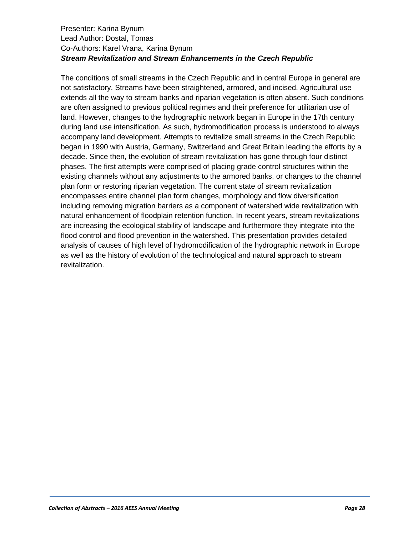#### Presenter: Karina Bynum Lead Author: Dostal, Tomas Co-Authors: Karel Vrana, Karina Bynum *Stream Revitalization and Stream Enhancements in the Czech Republic*

The conditions of small streams in the Czech Republic and in central Europe in general are not satisfactory. Streams have been straightened, armored, and incised. Agricultural use extends all the way to stream banks and riparian vegetation is often absent. Such conditions are often assigned to previous political regimes and their preference for utilitarian use of land. However, changes to the hydrographic network began in Europe in the 17th century during land use intensification. As such, hydromodification process is understood to always accompany land development. Attempts to revitalize small streams in the Czech Republic began in 1990 with Austria, Germany, Switzerland and Great Britain leading the efforts by a decade. Since then, the evolution of stream revitalization has gone through four distinct phases. The first attempts were comprised of placing grade control structures within the existing channels without any adjustments to the armored banks, or changes to the channel plan form or restoring riparian vegetation. The current state of stream revitalization encompasses entire channel plan form changes, morphology and flow diversification including removing migration barriers as a component of watershed wide revitalization with natural enhancement of floodplain retention function. In recent years, stream revitalizations are increasing the ecological stability of landscape and furthermore they integrate into the flood control and flood prevention in the watershed. This presentation provides detailed analysis of causes of high level of hydromodification of the hydrographic network in Europe as well as the history of evolution of the technological and natural approach to stream revitalization.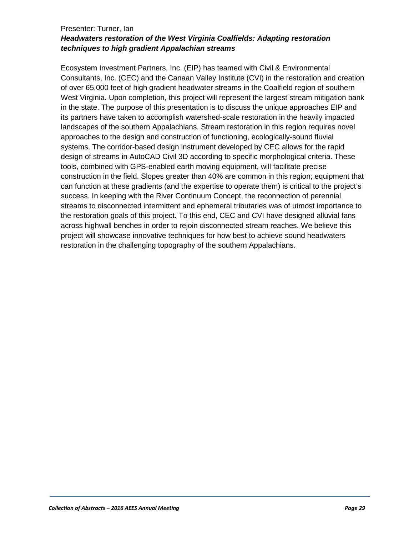#### Presenter: Turner, Ian *Headwaters restoration of the West Virginia Coalfields: Adapting restoration techniques to high gradient Appalachian streams*

Ecosystem Investment Partners, Inc. (EIP) has teamed with Civil & Environmental Consultants, Inc. (CEC) and the Canaan Valley Institute (CVI) in the restoration and creation of over 65,000 feet of high gradient headwater streams in the Coalfield region of southern West Virginia. Upon completion, this project will represent the largest stream mitigation bank in the state. The purpose of this presentation is to discuss the unique approaches EIP and its partners have taken to accomplish watershed-scale restoration in the heavily impacted landscapes of the southern Appalachians. Stream restoration in this region requires novel approaches to the design and construction of functioning, ecologically-sound fluvial systems. The corridor-based design instrument developed by CEC allows for the rapid design of streams in AutoCAD Civil 3D according to specific morphological criteria. These tools, combined with GPS-enabled earth moving equipment, will facilitate precise construction in the field. Slopes greater than 40% are common in this region; equipment that can function at these gradients (and the expertise to operate them) is critical to the project's success. In keeping with the River Continuum Concept, the reconnection of perennial streams to disconnected intermittent and ephemeral tributaries was of utmost importance to the restoration goals of this project. To this end, CEC and CVI have designed alluvial fans across highwall benches in order to rejoin disconnected stream reaches. We believe this project will showcase innovative techniques for how best to achieve sound headwaters restoration in the challenging topography of the southern Appalachians.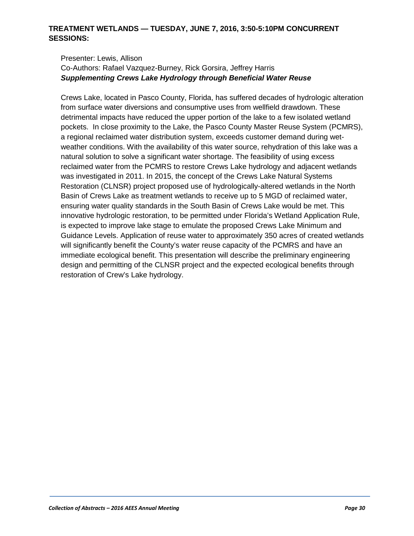#### **TREATMENT WETLANDS — TUESDAY, JUNE 7, 2016, 3:50-5:10PM CONCURRENT SESSIONS:**

#### Presenter: Lewis, Allison Co-Authors: Rafael Vazquez-Burney, Rick Gorsira, Jeffrey Harris *Supplementing Crews Lake Hydrology through Beneficial Water Reuse*

Crews Lake, located in Pasco County, Florida, has suffered decades of hydrologic alteration from surface water diversions and consumptive uses from wellfield drawdown. These detrimental impacts have reduced the upper portion of the lake to a few isolated wetland pockets. In close proximity to the Lake, the Pasco County Master Reuse System (PCMRS), a regional reclaimed water distribution system, exceeds customer demand during wetweather conditions. With the availability of this water source, rehydration of this lake was a natural solution to solve a significant water shortage. The feasibility of using excess reclaimed water from the PCMRS to restore Crews Lake hydrology and adjacent wetlands was investigated in 2011. In 2015, the concept of the Crews Lake Natural Systems Restoration (CLNSR) project proposed use of hydrologically-altered wetlands in the North Basin of Crews Lake as treatment wetlands to receive up to 5 MGD of reclaimed water, ensuring water quality standards in the South Basin of Crews Lake would be met. This innovative hydrologic restoration, to be permitted under Florida's Wetland Application Rule, is expected to improve lake stage to emulate the proposed Crews Lake Minimum and Guidance Levels. Application of reuse water to approximately 350 acres of created wetlands will significantly benefit the County's water reuse capacity of the PCMRS and have an immediate ecological benefit. This presentation will describe the preliminary engineering design and permitting of the CLNSR project and the expected ecological benefits through restoration of Crew's Lake hydrology.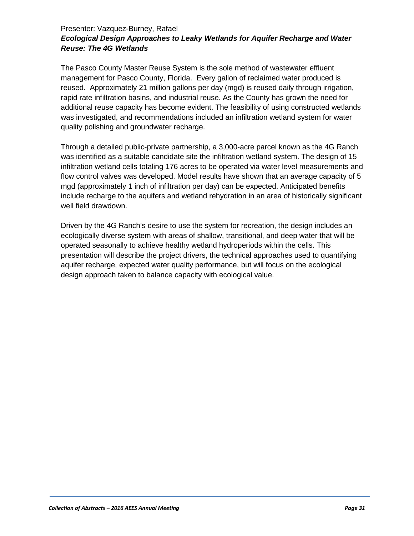## Presenter: Vazquez-Burney, Rafael *Ecological Design Approaches to Leaky Wetlands for Aquifer Recharge and Water Reuse: The 4G Wetlands*

The Pasco County Master Reuse System is the sole method of wastewater effluent management for Pasco County, Florida. Every gallon of reclaimed water produced is reused. Approximately 21 million gallons per day (mgd) is reused daily through irrigation, rapid rate infiltration basins, and industrial reuse. As the County has grown the need for additional reuse capacity has become evident. The feasibility of using constructed wetlands was investigated, and recommendations included an infiltration wetland system for water quality polishing and groundwater recharge.

Through a detailed public-private partnership, a 3,000-acre parcel known as the 4G Ranch was identified as a suitable candidate site the infiltration wetland system. The design of 15 infiltration wetland cells totaling 176 acres to be operated via water level measurements and flow control valves was developed. Model results have shown that an average capacity of 5 mgd (approximately 1 inch of infiltration per day) can be expected. Anticipated benefits include recharge to the aquifers and wetland rehydration in an area of historically significant well field drawdown.

Driven by the 4G Ranch's desire to use the system for recreation, the design includes an ecologically diverse system with areas of shallow, transitional, and deep water that will be operated seasonally to achieve healthy wetland hydroperiods within the cells. This presentation will describe the project drivers, the technical approaches used to quantifying aquifer recharge, expected water quality performance, but will focus on the ecological design approach taken to balance capacity with ecological value.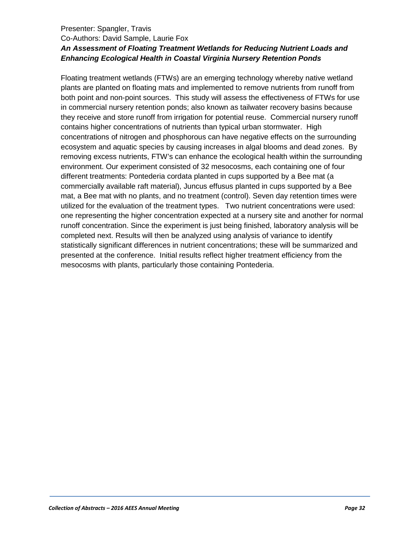#### Presenter: Spangler, Travis Co-Authors: David Sample, Laurie Fox *An Assessment of Floating Treatment Wetlands for Reducing Nutrient Loads and Enhancing Ecological Health in Coastal Virginia Nursery Retention Ponds*

Floating treatment wetlands (FTWs) are an emerging technology whereby native wetland plants are planted on floating mats and implemented to remove nutrients from runoff from both point and non-point sources. This study will assess the effectiveness of FTWs for use in commercial nursery retention ponds; also known as tailwater recovery basins because they receive and store runoff from irrigation for potential reuse. Commercial nursery runoff contains higher concentrations of nutrients than typical urban stormwater. High concentrations of nitrogen and phosphorous can have negative effects on the surrounding ecosystem and aquatic species by causing increases in algal blooms and dead zones. By removing excess nutrients, FTW's can enhance the ecological health within the surrounding environment. Our experiment consisted of 32 mesocosms, each containing one of four different treatments: Pontederia cordata planted in cups supported by a Bee mat (a commercially available raft material), Juncus effusus planted in cups supported by a Bee mat, a Bee mat with no plants, and no treatment (control). Seven day retention times were utilized for the evaluation of the treatment types. Two nutrient concentrations were used: one representing the higher concentration expected at a nursery site and another for normal runoff concentration. Since the experiment is just being finished, laboratory analysis will be completed next. Results will then be analyzed using analysis of variance to identify statistically significant differences in nutrient concentrations; these will be summarized and presented at the conference. Initial results reflect higher treatment efficiency from the mesocosms with plants, particularly those containing Pontederia.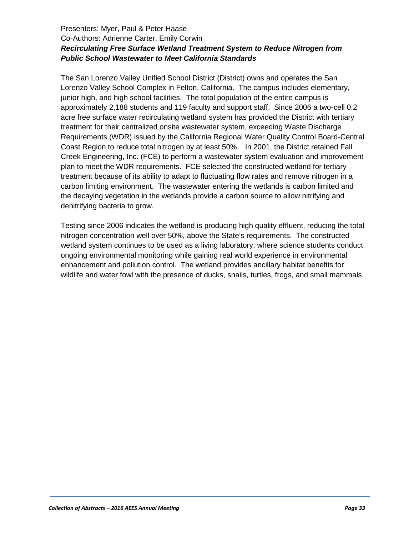## Presenters: Myer, Paul & Peter Haase Co-Authors: Adrienne Carter, Emily Corwin *Recirculating Free Surface Wetland Treatment System to Reduce Nitrogen from Public School Wastewater to Meet California Standards*

The San Lorenzo Valley Unified School District (District) owns and operates the San Lorenzo Valley School Complex in Felton, California. The campus includes elementary, junior high, and high school facilities. The total population of the entire campus is approximately 2,188 students and 119 faculty and support staff. Since 2006 a two-cell 0.2 acre free surface water recirculating wetland system has provided the District with tertiary treatment for their centralized onsite wastewater system, exceeding Waste Discharge Requirements (WDR) issued by the California Regional Water Quality Control Board-Central Coast Region to reduce total nitrogen by at least 50%. In 2001, the District retained Fall Creek Engineering, Inc. (FCE) to perform a wastewater system evaluation and improvement plan to meet the WDR requirements. FCE selected the constructed wetland for tertiary treatment because of its ability to adapt to fluctuating flow rates and remove nitrogen in a carbon limiting environment. The wastewater entering the wetlands is carbon limited and the decaying vegetation in the wetlands provide a carbon source to allow nitrifying and denitrifying bacteria to grow.

Testing since 2006 indicates the wetland is producing high quality effluent, reducing the total nitrogen concentration well over 50%, above the State's requirements. The constructed wetland system continues to be used as a living laboratory, where science students conduct ongoing environmental monitoring while gaining real world experience in environmental enhancement and pollution control. The wetland provides ancillary habitat benefits for wildlife and water fowl with the presence of ducks, snails, turtles, frogs, and small mammals.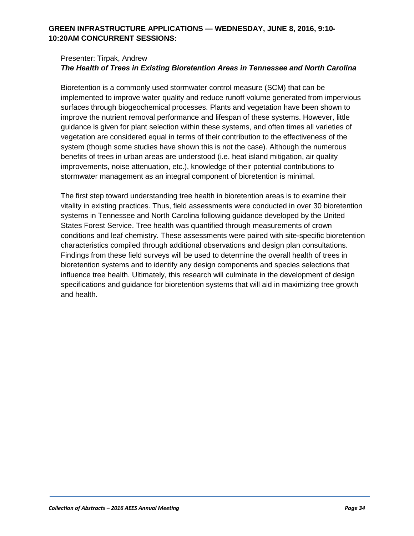#### **GREEN INFRASTRUCTURE APPLICATIONS — WEDNESDAY, JUNE 8, 2016, 9:10- 10:20AM CONCURRENT SESSIONS:**

#### Presenter: Tirpak, Andrew *The Health of Trees in Existing Bioretention Areas in Tennessee and North Carolina*

Bioretention is a commonly used stormwater control measure (SCM) that can be implemented to improve water quality and reduce runoff volume generated from impervious surfaces through biogeochemical processes. Plants and vegetation have been shown to improve the nutrient removal performance and lifespan of these systems. However, little guidance is given for plant selection within these systems, and often times all varieties of vegetation are considered equal in terms of their contribution to the effectiveness of the system (though some studies have shown this is not the case). Although the numerous benefits of trees in urban areas are understood (i.e. heat island mitigation, air quality improvements, noise attenuation, etc.), knowledge of their potential contributions to stormwater management as an integral component of bioretention is minimal.

The first step toward understanding tree health in bioretention areas is to examine their vitality in existing practices. Thus, field assessments were conducted in over 30 bioretention systems in Tennessee and North Carolina following guidance developed by the United States Forest Service. Tree health was quantified through measurements of crown conditions and leaf chemistry. These assessments were paired with site-specific bioretention characteristics compiled through additional observations and design plan consultations. Findings from these field surveys will be used to determine the overall health of trees in bioretention systems and to identify any design components and species selections that influence tree health. Ultimately, this research will culminate in the development of design specifications and guidance for bioretention systems that will aid in maximizing tree growth and health.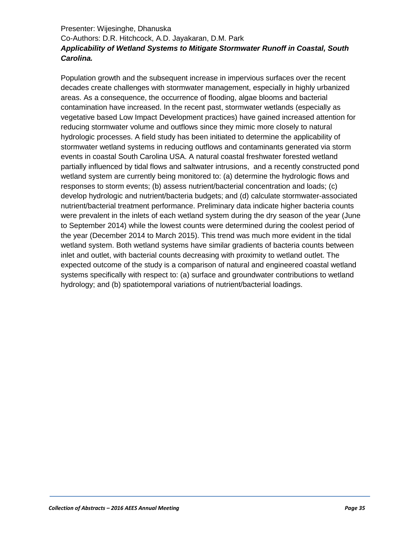## Presenter: Wijesinghe, Dhanuska Co-Authors: D.R. Hitchcock, A.D. Jayakaran, D.M. Park *Applicability of Wetland Systems to Mitigate Stormwater Runoff in Coastal, South Carolina.*

Population growth and the subsequent increase in impervious surfaces over the recent decades create challenges with stormwater management, especially in highly urbanized areas. As a consequence, the occurrence of flooding, algae blooms and bacterial contamination have increased. In the recent past, stormwater wetlands (especially as vegetative based Low Impact Development practices) have gained increased attention for reducing stormwater volume and outflows since they mimic more closely to natural hydrologic processes. A field study has been initiated to determine the applicability of stormwater wetland systems in reducing outflows and contaminants generated via storm events in coastal South Carolina USA. A natural coastal freshwater forested wetland partially influenced by tidal flows and saltwater intrusions, and a recently constructed pond wetland system are currently being monitored to: (a) determine the hydrologic flows and responses to storm events; (b) assess nutrient/bacterial concentration and loads; (c) develop hydrologic and nutrient/bacteria budgets; and (d) calculate stormwater-associated nutrient/bacterial treatment performance. Preliminary data indicate higher bacteria counts were prevalent in the inlets of each wetland system during the dry season of the year (June to September 2014) while the lowest counts were determined during the coolest period of the year (December 2014 to March 2015). This trend was much more evident in the tidal wetland system. Both wetland systems have similar gradients of bacteria counts between inlet and outlet, with bacterial counts decreasing with proximity to wetland outlet. The expected outcome of the study is a comparison of natural and engineered coastal wetland systems specifically with respect to: (a) surface and groundwater contributions to wetland hydrology; and (b) spatiotemporal variations of nutrient/bacterial loadings.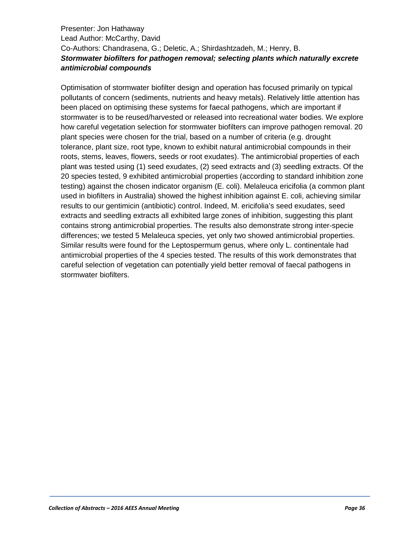## Presenter: Jon Hathaway Lead Author: McCarthy, David Co-Authors: Chandrasena, G.; Deletic, A.; Shirdashtzadeh, M.; Henry, B. *Stormwater biofilters for pathogen removal; selecting plants which naturally excrete antimicrobial compounds*

Optimisation of stormwater biofilter design and operation has focused primarily on typical pollutants of concern (sediments, nutrients and heavy metals). Relatively little attention has been placed on optimising these systems for faecal pathogens, which are important if stormwater is to be reused/harvested or released into recreational water bodies. We explore how careful vegetation selection for stormwater biofilters can improve pathogen removal. 20 plant species were chosen for the trial, based on a number of criteria (e.g. drought tolerance, plant size, root type, known to exhibit natural antimicrobial compounds in their roots, stems, leaves, flowers, seeds or root exudates). The antimicrobial properties of each plant was tested using (1) seed exudates, (2) seed extracts and (3) seedling extracts. Of the 20 species tested, 9 exhibited antimicrobial properties (according to standard inhibition zone testing) against the chosen indicator organism (E. coli). Melaleuca ericifolia (a common plant used in biofilters in Australia) showed the highest inhibition against E. coli, achieving similar results to our gentimicin (antibiotic) control. Indeed, M. ericifolia's seed exudates, seed extracts and seedling extracts all exhibited large zones of inhibition, suggesting this plant contains strong antimicrobial properties. The results also demonstrate strong inter-specie differences; we tested 5 Melaleuca species, yet only two showed antimicrobial properties. Similar results were found for the Leptospermum genus, where only L. continentale had antimicrobial properties of the 4 species tested. The results of this work demonstrates that careful selection of vegetation can potentially yield better removal of faecal pathogens in stormwater biofilters.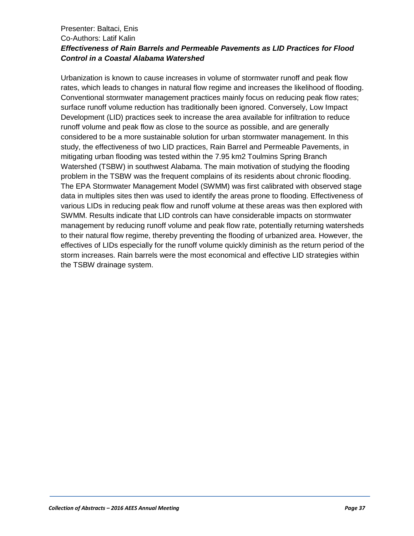## Presenter: Baltaci, Enis Co-Authors: Latif Kalin *Effectiveness of Rain Barrels and Permeable Pavements as LID Practices for Flood Control in a Coastal Alabama Watershed*

Urbanization is known to cause increases in volume of stormwater runoff and peak flow rates, which leads to changes in natural flow regime and increases the likelihood of flooding. Conventional stormwater management practices mainly focus on reducing peak flow rates; surface runoff volume reduction has traditionally been ignored. Conversely, Low Impact Development (LID) practices seek to increase the area available for infiltration to reduce runoff volume and peak flow as close to the source as possible, and are generally considered to be a more sustainable solution for urban stormwater management. In this study, the effectiveness of two LID practices, Rain Barrel and Permeable Pavements, in mitigating urban flooding was tested within the 7.95 km2 Toulmins Spring Branch Watershed (TSBW) in southwest Alabama. The main motivation of studying the flooding problem in the TSBW was the frequent complains of its residents about chronic flooding. The EPA Stormwater Management Model (SWMM) was first calibrated with observed stage data in multiples sites then was used to identify the areas prone to flooding. Effectiveness of various LIDs in reducing peak flow and runoff volume at these areas was then explored with SWMM. Results indicate that LID controls can have considerable impacts on stormwater management by reducing runoff volume and peak flow rate, potentially returning watersheds to their natural flow regime, thereby preventing the flooding of urbanized area. However, the effectives of LIDs especially for the runoff volume quickly diminish as the return period of the storm increases. Rain barrels were the most economical and effective LID strategies within the TSBW drainage system.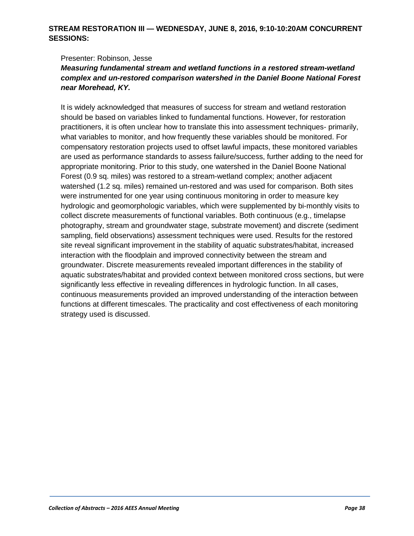#### **STREAM RESTORATION III — WEDNESDAY, JUNE 8, 2016, 9:10-10:20AM CONCURRENT SESSIONS:**

Presenter: Robinson, Jesse

## *Measuring fundamental stream and wetland functions in a restored stream-wetland complex and un-restored comparison watershed in the Daniel Boone National Forest near Morehead, KY.*

It is widely acknowledged that measures of success for stream and wetland restoration should be based on variables linked to fundamental functions. However, for restoration practitioners, it is often unclear how to translate this into assessment techniques- primarily, what variables to monitor, and how frequently these variables should be monitored. For compensatory restoration projects used to offset lawful impacts, these monitored variables are used as performance standards to assess failure/success, further adding to the need for appropriate monitoring. Prior to this study, one watershed in the Daniel Boone National Forest (0.9 sq. miles) was restored to a stream-wetland complex; another adjacent watershed (1.2 sq. miles) remained un-restored and was used for comparison. Both sites were instrumented for one year using continuous monitoring in order to measure key hydrologic and geomorphologic variables, which were supplemented by bi-monthly visits to collect discrete measurements of functional variables. Both continuous (e.g., timelapse photography, stream and groundwater stage, substrate movement) and discrete (sediment sampling, field observations) assessment techniques were used. Results for the restored site reveal significant improvement in the stability of aquatic substrates/habitat, increased interaction with the floodplain and improved connectivity between the stream and groundwater. Discrete measurements revealed important differences in the stability of aquatic substrates/habitat and provided context between monitored cross sections, but were significantly less effective in revealing differences in hydrologic function. In all cases, continuous measurements provided an improved understanding of the interaction between functions at different timescales. The practicality and cost effectiveness of each monitoring strategy used is discussed.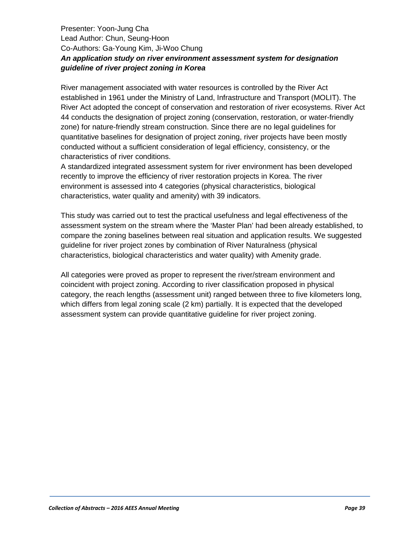## Presenter: Yoon-Jung Cha Lead Author: Chun, Seung-Hoon Co-Authors: Ga-Young Kim, Ji-Woo Chung *An application study on river environment assessment system for designation guideline of river project zoning in Korea*

River management associated with water resources is controlled by the River Act established in 1961 under the Ministry of Land, Infrastructure and Transport (MOLIT). The River Act adopted the concept of conservation and restoration of river ecosystems. River Act 44 conducts the designation of project zoning (conservation, restoration, or water-friendly zone) for nature-friendly stream construction. Since there are no legal guidelines for quantitative baselines for designation of project zoning, river projects have been mostly conducted without a sufficient consideration of legal efficiency, consistency, or the characteristics of river conditions.

A standardized integrated assessment system for river environment has been developed recently to improve the efficiency of river restoration projects in Korea. The river environment is assessed into 4 categories (physical characteristics, biological characteristics, water quality and amenity) with 39 indicators.

This study was carried out to test the practical usefulness and legal effectiveness of the assessment system on the stream where the 'Master Plan' had been already established, to compare the zoning baselines between real situation and application results. We suggested guideline for river project zones by combination of River Naturalness (physical characteristics, biological characteristics and water quality) with Amenity grade.

All categories were proved as proper to represent the river/stream environment and coincident with project zoning. According to river classification proposed in physical category, the reach lengths (assessment unit) ranged between three to five kilometers long, which differs from legal zoning scale (2 km) partially. It is expected that the developed assessment system can provide quantitative guideline for river project zoning.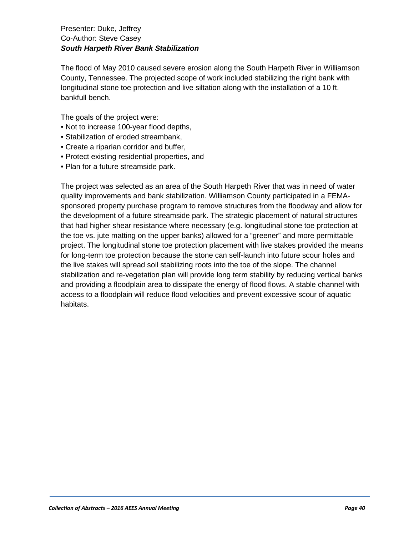#### Presenter: Duke, Jeffrey Co-Author: Steve Casey *South Harpeth River Bank Stabilization*

The flood of May 2010 caused severe erosion along the South Harpeth River in Williamson County, Tennessee. The projected scope of work included stabilizing the right bank with longitudinal stone toe protection and live siltation along with the installation of a 10 ft. bankfull bench.

The goals of the project were:

- Not to increase 100-year flood depths,
- Stabilization of eroded streambank,
- Create a riparian corridor and buffer,
- Protect existing residential properties, and
- Plan for a future streamside park.

The project was selected as an area of the South Harpeth River that was in need of water quality improvements and bank stabilization. Williamson County participated in a FEMAsponsored property purchase program to remove structures from the floodway and allow for the development of a future streamside park. The strategic placement of natural structures that had higher shear resistance where necessary (e.g. longitudinal stone toe protection at the toe vs. jute matting on the upper banks) allowed for a "greener" and more permittable project. The longitudinal stone toe protection placement with live stakes provided the means for long-term toe protection because the stone can self-launch into future scour holes and the live stakes will spread soil stabilizing roots into the toe of the slope. The channel stabilization and re-vegetation plan will provide long term stability by reducing vertical banks and providing a floodplain area to dissipate the energy of flood flows. A stable channel with access to a floodplain will reduce flood velocities and prevent excessive scour of aquatic habitats.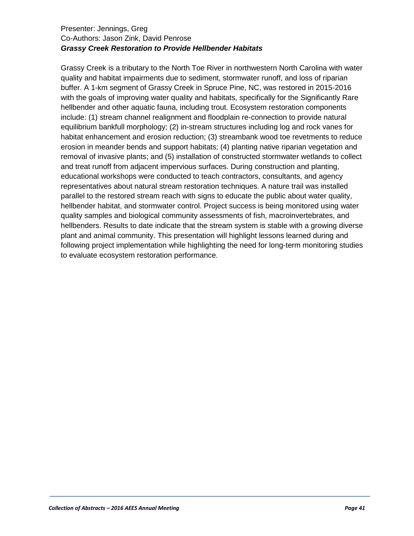#### Presenter: Jennings, Greg Co-Authors: Jason Zink, David Penrose *Grassy Creek Restoration to Provide Hellbender Habitats*

Grassy Creek is a tributary to the North Toe River in northwestern North Carolina with water quality and habitat impairments due to sediment, stormwater runoff, and loss of riparian buffer. A 1-km segment of Grassy Creek in Spruce Pine, NC, was restored in 2015-2016 with the goals of improving water quality and habitats, specifically for the Significantly Rare hellbender and other aquatic fauna, including trout. Ecosystem restoration components include: (1) stream channel realignment and floodplain re-connection to provide natural equilibrium bankfull morphology; (2) in-stream structures including log and rock vanes for habitat enhancement and erosion reduction; (3) streambank wood toe revetments to reduce erosion in meander bends and support habitats; (4) planting native riparian vegetation and removal of invasive plants; and (5) installation of constructed stormwater wetlands to collect and treat runoff from adjacent impervious surfaces. During construction and planting, educational workshops were conducted to teach contractors, consultants, and agency representatives about natural stream restoration techniques. A nature trail was installed parallel to the restored stream reach with signs to educate the public about water quality, hellbender habitat, and stormwater control. Project success is being monitored using water quality samples and biological community assessments of fish, macroinvertebrates, and hellbenders. Results to date indicate that the stream system is stable with a growing diverse plant and animal community. This presentation will highlight lessons learned during and following project implementation while highlighting the need for long-term monitoring studies to evaluate ecosystem restoration performance.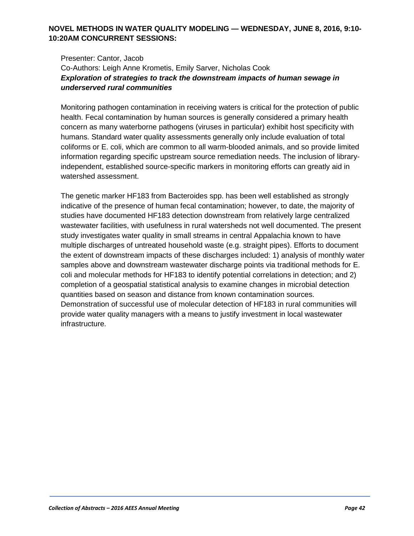## **NOVEL METHODS IN WATER QUALITY MODELING — WEDNESDAY, JUNE 8, 2016, 9:10- 10:20AM CONCURRENT SESSIONS:**

#### Presenter: Cantor, Jacob Co-Authors: Leigh Anne Krometis, Emily Sarver, Nicholas Cook *Exploration of strategies to track the downstream impacts of human sewage in underserved rural communities*

Monitoring pathogen contamination in receiving waters is critical for the protection of public health. Fecal contamination by human sources is generally considered a primary health concern as many waterborne pathogens (viruses in particular) exhibit host specificity with humans. Standard water quality assessments generally only include evaluation of total coliforms or E. coli, which are common to all warm-blooded animals, and so provide limited information regarding specific upstream source remediation needs. The inclusion of libraryindependent, established source-specific markers in monitoring efforts can greatly aid in watershed assessment.

The genetic marker HF183 from Bacteroides spp. has been well established as strongly indicative of the presence of human fecal contamination; however, to date, the majority of studies have documented HF183 detection downstream from relatively large centralized wastewater facilities, with usefulness in rural watersheds not well documented. The present study investigates water quality in small streams in central Appalachia known to have multiple discharges of untreated household waste (e.g. straight pipes). Efforts to document the extent of downstream impacts of these discharges included: 1) analysis of monthly water samples above and downstream wastewater discharge points via traditional methods for E. coli and molecular methods for HF183 to identify potential correlations in detection; and 2) completion of a geospatial statistical analysis to examine changes in microbial detection quantities based on season and distance from known contamination sources. Demonstration of successful use of molecular detection of HF183 in rural communities will provide water quality managers with a means to justify investment in local wastewater infrastructure.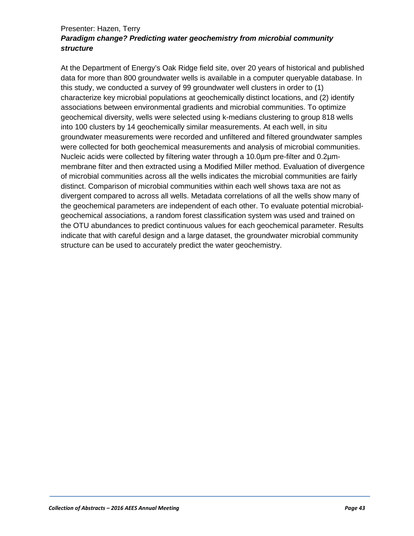#### Presenter: Hazen, Terry *Paradigm change? Predicting water geochemistry from microbial community structure*

At the Department of Energy's Oak Ridge field site, over 20 years of historical and published data for more than 800 groundwater wells is available in a computer queryable database. In this study, we conducted a survey of 99 groundwater well clusters in order to (1) characterize key microbial populations at geochemically distinct locations, and (2) identify associations between environmental gradients and microbial communities. To optimize geochemical diversity, wells were selected using k-medians clustering to group 818 wells into 100 clusters by 14 geochemically similar measurements. At each well, in situ groundwater measurements were recorded and unfiltered and filtered groundwater samples were collected for both geochemical measurements and analysis of microbial communities. Nucleic acids were collected by filtering water through a 10.0µm pre-filter and 0.2µmmembrane filter and then extracted using a Modified Miller method. Evaluation of divergence of microbial communities across all the wells indicates the microbial communities are fairly distinct. Comparison of microbial communities within each well shows taxa are not as divergent compared to across all wells. Metadata correlations of all the wells show many of the geochemical parameters are independent of each other. To evaluate potential microbialgeochemical associations, a random forest classification system was used and trained on the OTU abundances to predict continuous values for each geochemical parameter. Results indicate that with careful design and a large dataset, the groundwater microbial community structure can be used to accurately predict the water geochemistry.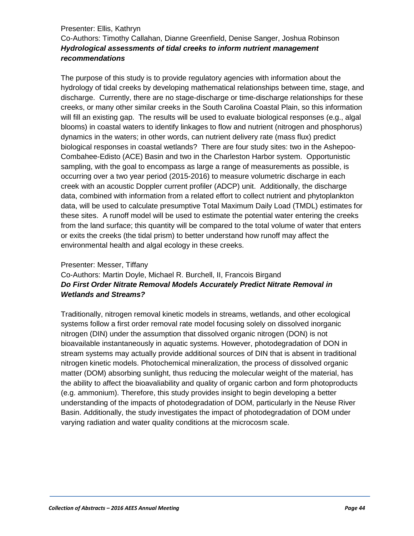#### Presenter: Ellis, Kathryn Co-Authors: Timothy Callahan, Dianne Greenfield, Denise Sanger, Joshua Robinson *Hydrological assessments of tidal creeks to inform nutrient management recommendations*

The purpose of this study is to provide regulatory agencies with information about the hydrology of tidal creeks by developing mathematical relationships between time, stage, and discharge. Currently, there are no stage-discharge or time-discharge relationships for these creeks, or many other similar creeks in the South Carolina Coastal Plain, so this information will fill an existing gap. The results will be used to evaluate biological responses (e.g., algal blooms) in coastal waters to identify linkages to flow and nutrient (nitrogen and phosphorus) dynamics in the waters; in other words, can nutrient delivery rate (mass flux) predict biological responses in coastal wetlands? There are four study sites: two in the Ashepoo-Combahee-Edisto (ACE) Basin and two in the Charleston Harbor system. Opportunistic sampling, with the goal to encompass as large a range of measurements as possible, is occurring over a two year period (2015-2016) to measure volumetric discharge in each creek with an acoustic Doppler current profiler (ADCP) unit. Additionally, the discharge data, combined with information from a related effort to collect nutrient and phytoplankton data, will be used to calculate presumptive Total Maximum Daily Load (TMDL) estimates for these sites. A runoff model will be used to estimate the potential water entering the creeks from the land surface; this quantity will be compared to the total volume of water that enters or exits the creeks (the tidal prism) to better understand how runoff may affect the environmental health and algal ecology in these creeks.

#### Presenter: Messer, Tiffany

## Co-Authors: Martin Doyle, Michael R. Burchell, II, Francois Birgand *Do First Order Nitrate Removal Models Accurately Predict Nitrate Removal in Wetlands and Streams?*

Traditionally, nitrogen removal kinetic models in streams, wetlands, and other ecological systems follow a first order removal rate model focusing solely on dissolved inorganic nitrogen (DIN) under the assumption that dissolved organic nitrogen (DON) is not bioavailable instantaneously in aquatic systems. However, photodegradation of DON in stream systems may actually provide additional sources of DIN that is absent in traditional nitrogen kinetic models. Photochemical mineralization, the process of dissolved organic matter (DOM) absorbing sunlight, thus reducing the molecular weight of the material, has the ability to affect the bioavaliability and quality of organic carbon and form photoproducts (e.g. ammonium). Therefore, this study provides insight to begin developing a better understanding of the impacts of photodegradation of DOM, particularly in the Neuse River Basin. Additionally, the study investigates the impact of photodegradation of DOM under varying radiation and water quality conditions at the microcosm scale.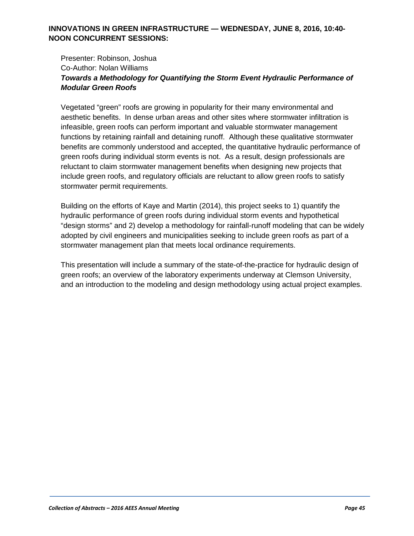## **INNOVATIONS IN GREEN INFRASTRUCTURE — WEDNESDAY, JUNE 8, 2016, 10:40- NOON CONCURRENT SESSIONS:**

## Presenter: Robinson, Joshua Co-Author: Nolan Williams *Towards a Methodology for Quantifying the Storm Event Hydraulic Performance of Modular Green Roofs*

Vegetated "green" roofs are growing in popularity for their many environmental and aesthetic benefits. In dense urban areas and other sites where stormwater infiltration is infeasible, green roofs can perform important and valuable stormwater management functions by retaining rainfall and detaining runoff. Although these qualitative stormwater benefits are commonly understood and accepted, the quantitative hydraulic performance of green roofs during individual storm events is not. As a result, design professionals are reluctant to claim stormwater management benefits when designing new projects that include green roofs, and regulatory officials are reluctant to allow green roofs to satisfy stormwater permit requirements.

Building on the efforts of Kaye and Martin (2014), this project seeks to 1) quantify the hydraulic performance of green roofs during individual storm events and hypothetical "design storms" and 2) develop a methodology for rainfall-runoff modeling that can be widely adopted by civil engineers and municipalities seeking to include green roofs as part of a stormwater management plan that meets local ordinance requirements.

This presentation will include a summary of the state-of-the-practice for hydraulic design of green roofs; an overview of the laboratory experiments underway at Clemson University, and an introduction to the modeling and design methodology using actual project examples.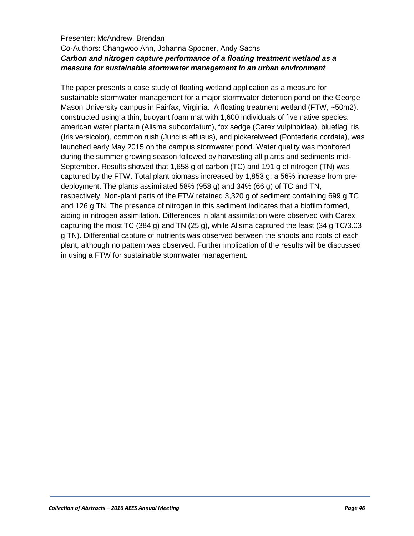#### Presenter: McAndrew, Brendan Co-Authors: Changwoo Ahn, Johanna Spooner, Andy Sachs *Carbon and nitrogen capture performance of a floating treatment wetland as a measure for sustainable stormwater management in an urban environment*

The paper presents a case study of floating wetland application as a measure for sustainable stormwater management for a major stormwater detention pond on the George Mason University campus in Fairfax, Virginia. A floating treatment wetland (FTW, ~50m2), constructed using a thin, buoyant foam mat with 1,600 individuals of five native species: american water plantain (Alisma subcordatum), fox sedge (Carex vulpinoidea), blueflag iris (Iris versicolor), common rush (Juncus effusus), and pickerelweed (Pontederia cordata), was launched early May 2015 on the campus stormwater pond. Water quality was monitored during the summer growing season followed by harvesting all plants and sediments mid-September. Results showed that 1,658 g of carbon (TC) and 191 g of nitrogen (TN) was captured by the FTW. Total plant biomass increased by 1,853 g; a 56% increase from predeployment. The plants assimilated 58% (958 g) and 34% (66 g) of TC and TN, respectively. Non-plant parts of the FTW retained 3,320 g of sediment containing 699 g TC and 126 g TN. The presence of nitrogen in this sediment indicates that a biofilm formed, aiding in nitrogen assimilation. Differences in plant assimilation were observed with Carex capturing the most TC (384 g) and TN (25 g), while Alisma captured the least (34 g TC/3.03 g TN). Differential capture of nutrients was observed between the shoots and roots of each plant, although no pattern was observed. Further implication of the results will be discussed in using a FTW for sustainable stormwater management.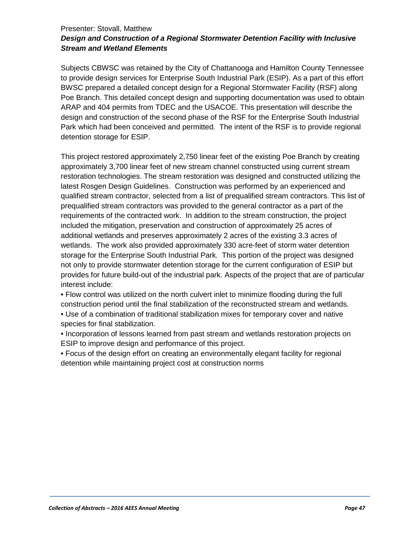#### Presenter: Stovall, Matthew *Design and Construction of a Regional Stormwater Detention Facility with Inclusive Stream and Wetland Elements*

Subjects CBWSC was retained by the City of Chattanooga and Hamilton County Tennessee to provide design services for Enterprise South Industrial Park (ESIP). As a part of this effort BWSC prepared a detailed concept design for a Regional Stormwater Facility (RSF) along Poe Branch. This detailed concept design and supporting documentation was used to obtain ARAP and 404 permits from TDEC and the USACOE. This presentation will describe the design and construction of the second phase of the RSF for the Enterprise South Industrial Park which had been conceived and permitted. The intent of the RSF is to provide regional detention storage for ESIP.

This project restored approximately 2,750 linear feet of the existing Poe Branch by creating approximately 3,700 linear feet of new stream channel constructed using current stream restoration technologies. The stream restoration was designed and constructed utilizing the latest Rosgen Design Guidelines. Construction was performed by an experienced and qualified stream contractor, selected from a list of prequalified stream contractors. This list of prequalified stream contractors was provided to the general contractor as a part of the requirements of the contracted work. In addition to the stream construction, the project included the mitigation, preservation and construction of approximately 25 acres of additional wetlands and preserves approximately 2 acres of the existing 3.3 acres of wetlands. The work also provided approximately 330 acre-feet of storm water detention storage for the Enterprise South Industrial Park. This portion of the project was designed not only to provide stormwater detention storage for the current configuration of ESIP but provides for future build-out of the industrial park. Aspects of the project that are of particular interest include:

• Flow control was utilized on the north culvert inlet to minimize flooding during the full construction period until the final stabilization of the reconstructed stream and wetlands.

• Use of a combination of traditional stabilization mixes for temporary cover and native species for final stabilization.

• Incorporation of lessons learned from past stream and wetlands restoration projects on ESIP to improve design and performance of this project.

• Focus of the design effort on creating an environmentally elegant facility for regional detention while maintaining project cost at construction norms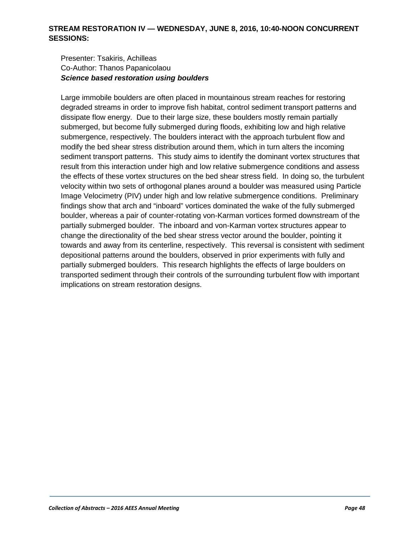#### **STREAM RESTORATION IV — WEDNESDAY, JUNE 8, 2016, 10:40-NOON CONCURRENT SESSIONS:**

#### Presenter: Tsakiris, Achilleas Co-Author: Thanos Papanicolaou *Science based restoration using boulders*

Large immobile boulders are often placed in mountainous stream reaches for restoring degraded streams in order to improve fish habitat, control sediment transport patterns and dissipate flow energy. Due to their large size, these boulders mostly remain partially submerged, but become fully submerged during floods, exhibiting low and high relative submergence, respectively. The boulders interact with the approach turbulent flow and modify the bed shear stress distribution around them, which in turn alters the incoming sediment transport patterns. This study aims to identify the dominant vortex structures that result from this interaction under high and low relative submergence conditions and assess the effects of these vortex structures on the bed shear stress field. In doing so, the turbulent velocity within two sets of orthogonal planes around a boulder was measured using Particle Image Velocimetry (PIV) under high and low relative submergence conditions. Preliminary findings show that arch and "inboard" vortices dominated the wake of the fully submerged boulder, whereas a pair of counter-rotating von-Karman vortices formed downstream of the partially submerged boulder. The inboard and von-Karman vortex structures appear to change the directionality of the bed shear stress vector around the boulder, pointing it towards and away from its centerline, respectively. This reversal is consistent with sediment depositional patterns around the boulders, observed in prior experiments with fully and partially submerged boulders. This research highlights the effects of large boulders on transported sediment through their controls of the surrounding turbulent flow with important implications on stream restoration designs.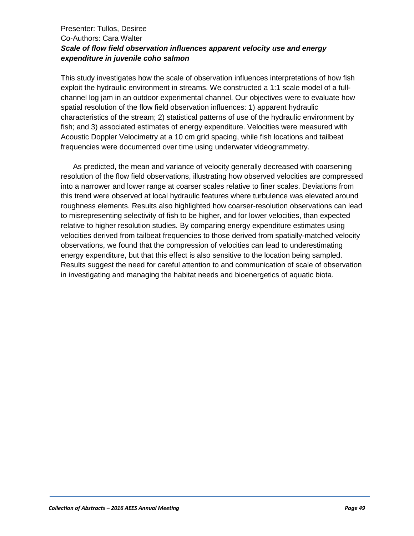## Presenter: Tullos, Desiree Co-Authors: Cara Walter *Scale of flow field observation influences apparent velocity use and energy expenditure in juvenile coho salmon*

This study investigates how the scale of observation influences interpretations of how fish exploit the hydraulic environment in streams. We constructed a 1:1 scale model of a fullchannel log jam in an outdoor experimental channel. Our objectives were to evaluate how spatial resolution of the flow field observation influences: 1) apparent hydraulic characteristics of the stream; 2) statistical patterns of use of the hydraulic environment by fish; and 3) associated estimates of energy expenditure. Velocities were measured with Acoustic Doppler Velocimetry at a 10 cm grid spacing, while fish locations and tailbeat frequencies were documented over time using underwater videogrammetry.

As predicted, the mean and variance of velocity generally decreased with coarsening resolution of the flow field observations, illustrating how observed velocities are compressed into a narrower and lower range at coarser scales relative to finer scales. Deviations from this trend were observed at local hydraulic features where turbulence was elevated around roughness elements. Results also highlighted how coarser-resolution observations can lead to misrepresenting selectivity of fish to be higher, and for lower velocities, than expected relative to higher resolution studies. By comparing energy expenditure estimates using velocities derived from tailbeat frequencies to those derived from spatially-matched velocity observations, we found that the compression of velocities can lead to underestimating energy expenditure, but that this effect is also sensitive to the location being sampled. Results suggest the need for careful attention to and communication of scale of observation in investigating and managing the habitat needs and bioenergetics of aquatic biota.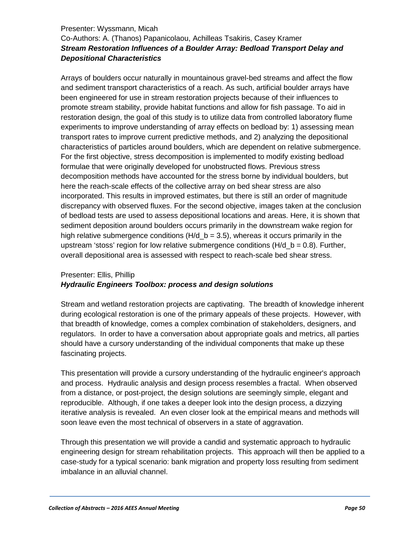#### Presenter: Wyssmann, Micah

## Co-Authors: A. (Thanos) Papanicolaou, Achilleas Tsakiris, Casey Kramer *Stream Restoration Influences of a Boulder Array: Bedload Transport Delay and Depositional Characteristics*

Arrays of boulders occur naturally in mountainous gravel-bed streams and affect the flow and sediment transport characteristics of a reach. As such, artificial boulder arrays have been engineered for use in stream restoration projects because of their influences to promote stream stability, provide habitat functions and allow for fish passage. To aid in restoration design, the goal of this study is to utilize data from controlled laboratory flume experiments to improve understanding of array effects on bedload by: 1) assessing mean transport rates to improve current predictive methods, and 2) analyzing the depositional characteristics of particles around boulders, which are dependent on relative submergence. For the first objective, stress decomposition is implemented to modify existing bedload formulae that were originally developed for unobstructed flows. Previous stress decomposition methods have accounted for the stress borne by individual boulders, but here the reach-scale effects of the collective array on bed shear stress are also incorporated. This results in improved estimates, but there is still an order of magnitude discrepancy with observed fluxes. For the second objective, images taken at the conclusion of bedload tests are used to assess depositional locations and areas. Here, it is shown that sediment deposition around boulders occurs primarily in the downstream wake region for high relative submergence conditions  $(H/d \, b = 3.5)$ , whereas it occurs primarily in the upstream 'stoss' region for low relative submergence conditions  $(H/d_b = 0.8)$ . Further, overall depositional area is assessed with respect to reach-scale bed shear stress.

## Presenter: Ellis, Phillip *Hydraulic Engineers Toolbox: process and design solutions*

Stream and wetland restoration projects are captivating. The breadth of knowledge inherent during ecological restoration is one of the primary appeals of these projects. However, with that breadth of knowledge, comes a complex combination of stakeholders, designers, and regulators. In order to have a conversation about appropriate goals and metrics, all parties should have a cursory understanding of the individual components that make up these fascinating projects.

This presentation will provide a cursory understanding of the hydraulic engineer's approach and process. Hydraulic analysis and design process resembles a fractal. When observed from a distance, or post-project, the design solutions are seemingly simple, elegant and reproducible. Although, if one takes a deeper look into the design process, a dizzying iterative analysis is revealed. An even closer look at the empirical means and methods will soon leave even the most technical of observers in a state of aggravation.

Through this presentation we will provide a candid and systematic approach to hydraulic engineering design for stream rehabilitation projects. This approach will then be applied to a case-study for a typical scenario: bank migration and property loss resulting from sediment imbalance in an alluvial channel.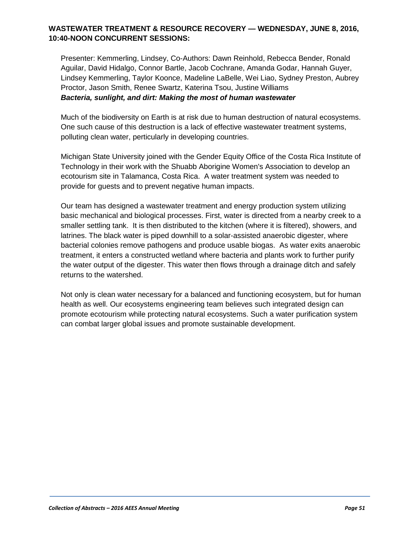## **WASTEWATER TREATMENT & RESOURCE RECOVERY — WEDNESDAY, JUNE 8, 2016, 10:40-NOON CONCURRENT SESSIONS:**

Presenter: Kemmerling, Lindsey, Co-Authors: Dawn Reinhold, Rebecca Bender, Ronald Aguilar, David Hidalgo, Connor Bartle, Jacob Cochrane, Amanda Godar, Hannah Guyer, Lindsey Kemmerling, Taylor Koonce, Madeline LaBelle, Wei Liao, Sydney Preston, Aubrey Proctor, Jason Smith, Renee Swartz, Katerina Tsou, Justine Williams *Bacteria, sunlight, and dirt: Making the most of human wastewater*

Much of the biodiversity on Earth is at risk due to human destruction of natural ecosystems. One such cause of this destruction is a lack of effective wastewater treatment systems, polluting clean water, perticularly in developing countries.

Michigan State University joined with the Gender Equity Office of the Costa Rica Institute of Technology in their work with the Shuabb Aborigine Women's Association to develop an ecotourism site in Talamanca, Costa Rica. A water treatment system was needed to provide for guests and to prevent negative human impacts.

Our team has designed a wastewater treatment and energy production system utilizing basic mechanical and biological processes. First, water is directed from a nearby creek to a smaller settling tank. It is then distributed to the kitchen (where it is filtered), showers, and latrines. The black water is piped downhill to a solar-assisted anaerobic digester, where bacterial colonies remove pathogens and produce usable biogas. As water exits anaerobic treatment, it enters a constructed wetland where bacteria and plants work to further purify the water output of the digester. This water then flows through a drainage ditch and safely returns to the watershed.

Not only is clean water necessary for a balanced and functioning ecosystem, but for human health as well. Our ecosystems engineering team believes such integrated design can promote ecotourism while protecting natural ecosystems. Such a water purification system can combat larger global issues and promote sustainable development.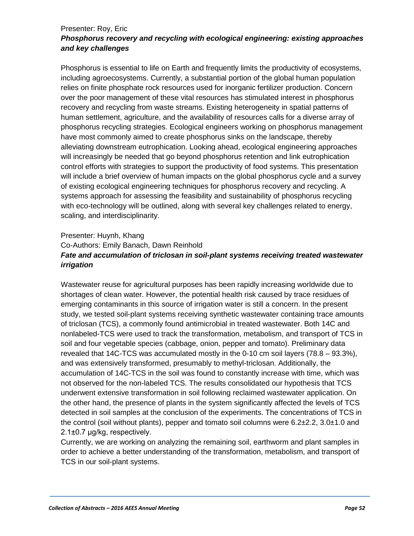#### Presenter: Roy, Eric *Phosphorus recovery and recycling with ecological engineering: existing approaches and key challenges*

Phosphorus is essential to life on Earth and frequently limits the productivity of ecosystems, including agroecosystems. Currently, a substantial portion of the global human population relies on finite phosphate rock resources used for inorganic fertilizer production. Concern over the poor management of these vital resources has stimulated interest in phosphorus recovery and recycling from waste streams. Existing heterogeneity in spatial patterns of human settlement, agriculture, and the availability of resources calls for a diverse array of phosphorus recycling strategies. Ecological engineers working on phosphorus management have most commonly aimed to create phosphorus sinks on the landscape, thereby alleviating downstream eutrophication. Looking ahead, ecological engineering approaches will increasingly be needed that go beyond phosphorus retention and link eutrophication control efforts with strategies to support the productivity of food systems. This presentation will include a brief overview of human impacts on the global phosphorus cycle and a survey of existing ecological engineering techniques for phosphorus recovery and recycling. A systems approach for assessing the feasibility and sustainability of phosphorus recycling with eco-technology will be outlined, along with several key challenges related to energy, scaling, and interdisciplinarity.

## Presenter: Huynh, Khang Co-Authors: Emily Banach, Dawn Reinhold *Fate and accumulation of triclosan in soil-plant systems receiving treated wastewater irrigation*

Wastewater reuse for agricultural purposes has been rapidly increasing worldwide due to shortages of clean water. However, the potential health risk caused by trace residues of emerging contaminants in this source of irrigation water is still a concern. In the present study, we tested soil-plant systems receiving synthetic wastewater containing trace amounts of triclosan (TCS), a commonly found antimicrobial in treated wastewater. Both 14C and nonlabeled-TCS were used to track the transformation, metabolism, and transport of TCS in soil and four vegetable species (cabbage, onion, pepper and tomato). Preliminary data revealed that 14C-TCS was accumulated mostly in the 0-10 cm soil layers (78.8 – 93.3%), and was extensively transformed, presumably to methyl-triclosan. Additionally, the accumulation of 14C-TCS in the soil was found to constantly increase with time, which was not observed for the non-labeled TCS. The results consolidated our hypothesis that TCS underwent extensive transformation in soil following reclaimed wastewater application. On the other hand, the presence of plants in the system significantly affected the levels of TCS detected in soil samples at the conclusion of the experiments. The concentrations of TCS in the control (soil without plants), pepper and tomato soil columns were  $6.2\pm2.2$ ,  $3.0\pm1.0$  and 2.1±0.7 μg/kg, respectively.

Currently, we are working on analyzing the remaining soil, earthworm and plant samples in order to achieve a better understanding of the transformation, metabolism, and transport of TCS in our soil-plant systems.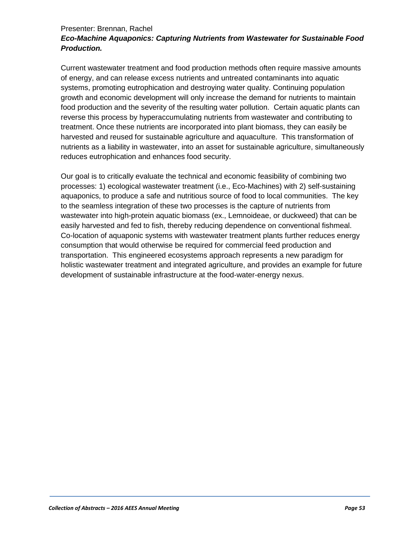#### Presenter: Brennan, Rachel

## *Eco-Machine Aquaponics: Capturing Nutrients from Wastewater for Sustainable Food Production.*

Current wastewater treatment and food production methods often require massive amounts of energy, and can release excess nutrients and untreated contaminants into aquatic systems, promoting eutrophication and destroying water quality. Continuing population growth and economic development will only increase the demand for nutrients to maintain food production and the severity of the resulting water pollution. Certain aquatic plants can reverse this process by hyperaccumulating nutrients from wastewater and contributing to treatment. Once these nutrients are incorporated into plant biomass, they can easily be harvested and reused for sustainable agriculture and aquaculture. This transformation of nutrients as a liability in wastewater, into an asset for sustainable agriculture, simultaneously reduces eutrophication and enhances food security.

Our goal is to critically evaluate the technical and economic feasibility of combining two processes: 1) ecological wastewater treatment (i.e., Eco-Machines) with 2) self-sustaining aquaponics, to produce a safe and nutritious source of food to local communities. The key to the seamless integration of these two processes is the capture of nutrients from wastewater into high-protein aquatic biomass (ex., Lemnoideae, or duckweed) that can be easily harvested and fed to fish, thereby reducing dependence on conventional fishmeal. Co-location of aquaponic systems with wastewater treatment plants further reduces energy consumption that would otherwise be required for commercial feed production and transportation. This engineered ecosystems approach represents a new paradigm for holistic wastewater treatment and integrated agriculture, and provides an example for future development of sustainable infrastructure at the food-water-energy nexus.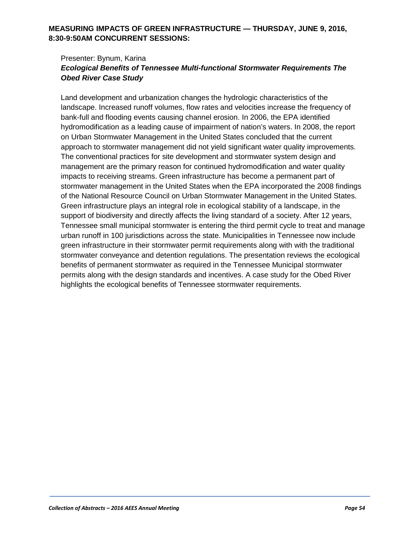## **MEASURING IMPACTS OF GREEN INFRASTRUCTURE — THURSDAY, JUNE 9, 2016, 8:30-9:50AM CONCURRENT SESSIONS:**

#### Presenter: Bynum, Karina *Ecological Benefits of Tennessee Multi-functional Stormwater Requirements The Obed River Case Study*

Land development and urbanization changes the hydrologic characteristics of the landscape. Increased runoff volumes, flow rates and velocities increase the frequency of bank-full and flooding events causing channel erosion. In 2006, the EPA identified hydromodification as a leading cause of impairment of nation's waters. In 2008, the report on Urban Stormwater Management in the United States concluded that the current approach to stormwater management did not yield significant water quality improvements. The conventional practices for site development and stormwater system design and management are the primary reason for continued hydromodification and water quality impacts to receiving streams. Green infrastructure has become a permanent part of stormwater management in the United States when the EPA incorporated the 2008 findings of the National Resource Council on Urban Stormwater Management in the United States. Green infrastructure plays an integral role in ecological stability of a landscape, in the support of biodiversity and directly affects the living standard of a society. After 12 years, Tennessee small municipal stormwater is entering the third permit cycle to treat and manage urban runoff in 100 jurisdictions across the state. Municipalities in Tennessee now include green infrastructure in their stormwater permit requirements along with with the traditional stormwater conveyance and detention regulations. The presentation reviews the ecological benefits of permanent stormwater as required in the Tennessee Municipal stormwater permits along with the design standards and incentives. A case study for the Obed River highlights the ecological benefits of Tennessee stormwater requirements.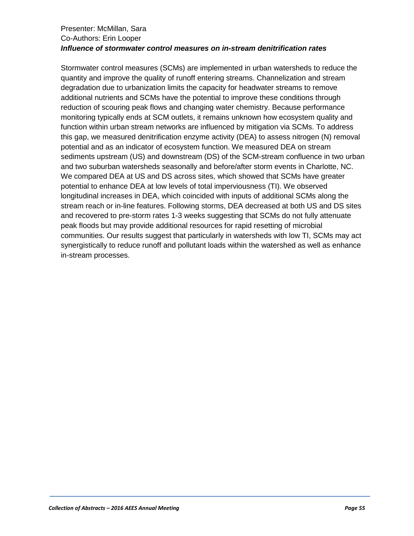#### Presenter: McMillan, Sara Co-Authors: Erin Looper *Influence of stormwater control measures on in-stream denitrification rates*

Stormwater control measures (SCMs) are implemented in urban watersheds to reduce the quantity and improve the quality of runoff entering streams. Channelization and stream degradation due to urbanization limits the capacity for headwater streams to remove additional nutrients and SCMs have the potential to improve these conditions through reduction of scouring peak flows and changing water chemistry. Because performance monitoring typically ends at SCM outlets, it remains unknown how ecosystem quality and function within urban stream networks are influenced by mitigation via SCMs. To address this gap, we measured denitrification enzyme activity (DEA) to assess nitrogen (N) removal potential and as an indicator of ecosystem function. We measured DEA on stream sediments upstream (US) and downstream (DS) of the SCM-stream confluence in two urban and two suburban watersheds seasonally and before/after storm events in Charlotte, NC. We compared DEA at US and DS across sites, which showed that SCMs have greater potential to enhance DEA at low levels of total imperviousness (TI). We observed longitudinal increases in DEA, which coincided with inputs of additional SCMs along the stream reach or in-line features. Following storms, DEA decreased at both US and DS sites and recovered to pre-storm rates 1-3 weeks suggesting that SCMs do not fully attenuate peak floods but may provide additional resources for rapid resetting of microbial communities. Our results suggest that particularly in watersheds with low TI, SCMs may act synergistically to reduce runoff and pollutant loads within the watershed as well as enhance in-stream processes.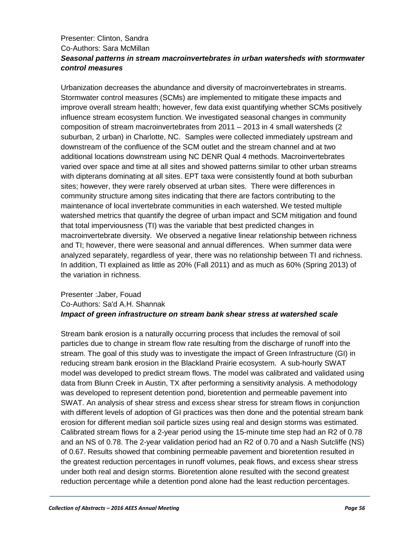## Presenter: Clinton, Sandra Co-Authors: Sara McMillan *Seasonal patterns in stream macroinvertebrates in urban watersheds with stormwater control measures*

Urbanization decreases the abundance and diversity of macroinvertebrates in streams. Stormwater control measures (SCMs) are implemented to mitigate these impacts and improve overall stream health; however, few data exist quantifying whether SCMs positively influence stream ecosystem function. We investigated seasonal changes in community composition of stream macroinvertebrates from 2011 – 2013 in 4 small watersheds (2 suburban, 2 urban) in Charlotte, NC. Samples were collected immediately upstream and downstream of the confluence of the SCM outlet and the stream channel and at two additional locations downstream using NC DENR Qual 4 methods. Macroinvertebrates varied over space and time at all sites and showed patterns similar to other urban streams with dipterans dominating at all sites. EPT taxa were consistently found at both suburban sites; however, they were rarely observed at urban sites. There were differences in community structure among sites indicating that there are factors contributing to the maintenance of local invertebrate communities in each watershed. We tested multiple watershed metrics that quantify the degree of urban impact and SCM mitigation and found that total imperviousness (TI) was the variable that best predicted changes in macroinvertebrate diversity. We observed a negative linear relationship between richness and TI; however, there were seasonal and annual differences. When summer data were analyzed separately, regardless of year, there was no relationship between TI and richness. In addition, TI explained as little as 20% (Fall 2011) and as much as 60% (Spring 2013) of the variation in richness.

## Presenter :Jaber, Fouad Co-Authors: Sa'd A.H. Shannak *Impact of green infrastructure on stream bank shear stress at watershed scale*

Stream bank erosion is a naturally occurring process that includes the removal of soil particles due to change in stream flow rate resulting from the discharge of runoff into the stream. The goal of this study was to investigate the impact of Green Infrastructure (GI) in reducing stream bank erosion in the Blackland Prairie ecosystem. A sub-hourly SWAT model was developed to predict stream flows. The model was calibrated and validated using data from Blunn Creek in Austin, TX after performing a sensitivity analysis. A methodology was developed to represent detention pond, bioretention and permeable pavement into SWAT. An analysis of shear stress and excess shear stress for stream flows in conjunction with different levels of adoption of GI practices was then done and the potential stream bank erosion for different median soil particle sizes using real and design storms was estimated. Calibrated stream flows for a 2-year period using the 15-minute time step had an R2 of 0.78 and an NS of 0.78. The 2-year validation period had an R2 of 0.70 and a Nash Sutcliffe (NS) of 0.67. Results showed that combining permeable pavement and bioretention resulted in the greatest reduction percentages in runoff volumes, peak flows, and excess shear stress under both real and design storms. Bioretention alone resulted with the second greatest reduction percentage while a detention pond alone had the least reduction percentages.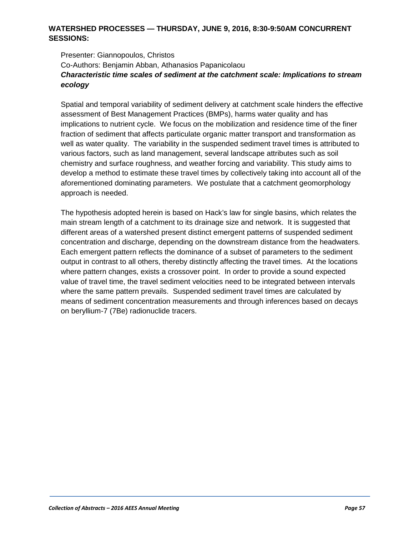#### **WATERSHED PROCESSES — THURSDAY, JUNE 9, 2016, 8:30-9:50AM CONCURRENT SESSIONS:**

Presenter: Giannopoulos, Christos Co-Authors: Benjamin Abban, Athanasios Papanicolaou *Characteristic time scales of sediment at the catchment scale: Implications to stream ecology*

Spatial and temporal variability of sediment delivery at catchment scale hinders the effective assessment of Best Management Practices (BMPs), harms water quality and has implications to nutrient cycle. We focus on the mobilization and residence time of the finer fraction of sediment that affects particulate organic matter transport and transformation as well as water quality. The variability in the suspended sediment travel times is attributed to various factors, such as land management, several landscape attributes such as soil chemistry and surface roughness, and weather forcing and variability. This study aims to develop a method to estimate these travel times by collectively taking into account all of the aforementioned dominating parameters. We postulate that a catchment geomorphology approach is needed.

The hypothesis adopted herein is based on Hack's law for single basins, which relates the main stream length of a catchment to its drainage size and network. It is suggested that different areas of a watershed present distinct emergent patterns of suspended sediment concentration and discharge, depending on the downstream distance from the headwaters. Each emergent pattern reflects the dominance of a subset of parameters to the sediment output in contrast to all others, thereby distinctly affecting the travel times. At the locations where pattern changes, exists a crossover point. In order to provide a sound expected value of travel time, the travel sediment velocities need to be integrated between intervals where the same pattern prevails. Suspended sediment travel times are calculated by means of sediment concentration measurements and through inferences based on decays on beryllium-7 (7Be) radionuclide tracers.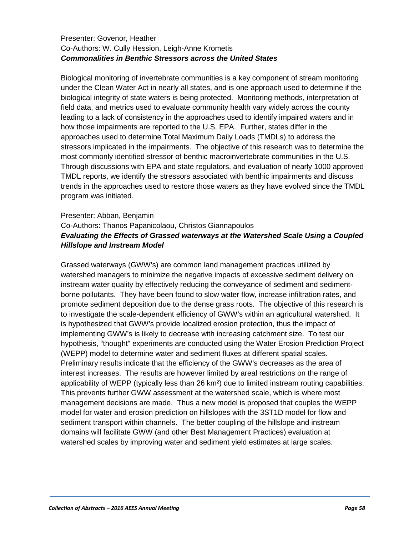#### Presenter: Govenor, Heather Co-Authors: W. Cully Hession, Leigh-Anne Krometis *Commonalities in Benthic Stressors across the United States*

Biological monitoring of invertebrate communities is a key component of stream monitoring under the Clean Water Act in nearly all states, and is one approach used to determine if the biological integrity of state waters is being protected. Monitoring methods, interpretation of field data, and metrics used to evaluate community health vary widely across the county leading to a lack of consistency in the approaches used to identify impaired waters and in how those impairments are reported to the U.S. EPA. Further, states differ in the approaches used to determine Total Maximum Daily Loads (TMDLs) to address the stressors implicated in the impairments. The objective of this research was to determine the most commonly identified stressor of benthic macroinvertebrate communities in the U.S. Through discussions with EPA and state regulators, and evaluation of nearly 1000 approved TMDL reports, we identify the stressors associated with benthic impairments and discuss trends in the approaches used to restore those waters as they have evolved since the TMDL program was initiated.

## Presenter: Abban, Benjamin Co-Authors: Thanos Papanicolaou, Christos Giannapoulos *Evaluating the Effects of Grassed waterways at the Watershed Scale Using a Coupled Hillslope and Instream Model*

Grassed waterways (GWW's) are common land management practices utilized by watershed managers to minimize the negative impacts of excessive sediment delivery on instream water quality by effectively reducing the conveyance of sediment and sedimentborne pollutants. They have been found to slow water flow, increase infiltration rates, and promote sediment deposition due to the dense grass roots. The objective of this research is to investigate the scale-dependent efficiency of GWW's within an agricultural watershed. It is hypothesized that GWW's provide localized erosion protection, thus the impact of implementing GWW's is likely to decrease with increasing catchment size. To test our hypothesis, "thought" experiments are conducted using the Water Erosion Prediction Project (WEPP) model to determine water and sediment fluxes at different spatial scales. Preliminary results indicate that the efficiency of the GWW's decreases as the area of interest increases. The results are however limited by areal restrictions on the range of applicability of WEPP (typically less than 26 km²) due to limited instream routing capabilities. This prevents further GWW assessment at the watershed scale, which is where most management decisions are made. Thus a new model is proposed that couples the WEPP model for water and erosion prediction on hillslopes with the 3ST1D model for flow and sediment transport within channels. The better coupling of the hillslope and instream domains will facilitate GWW (and other Best Management Practices) evaluation at watershed scales by improving water and sediment yield estimates at large scales.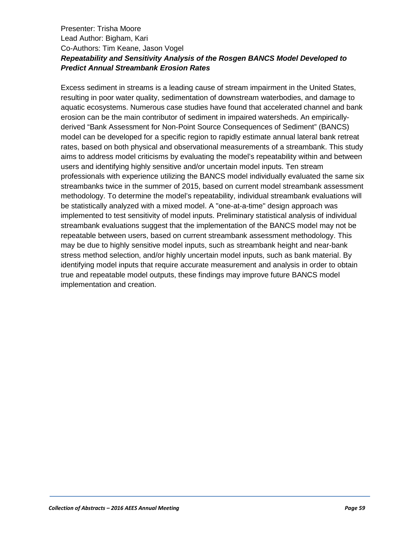## Presenter: Trisha Moore Lead Author: Bigham, Kari Co-Authors: Tim Keane, Jason Vogel *Repeatability and Sensitivity Analysis of the Rosgen BANCS Model Developed to Predict Annual Streambank Erosion Rates*

Excess sediment in streams is a leading cause of stream impairment in the United States, resulting in poor water quality, sedimentation of downstream waterbodies, and damage to aquatic ecosystems. Numerous case studies have found that accelerated channel and bank erosion can be the main contributor of sediment in impaired watersheds. An empiricallyderived "Bank Assessment for Non-Point Source Consequences of Sediment" (BANCS) model can be developed for a specific region to rapidly estimate annual lateral bank retreat rates, based on both physical and observational measurements of a streambank. This study aims to address model criticisms by evaluating the model's repeatability within and between users and identifying highly sensitive and/or uncertain model inputs. Ten stream professionals with experience utilizing the BANCS model individually evaluated the same six streambanks twice in the summer of 2015, based on current model streambank assessment methodology. To determine the model's repeatability, individual streambank evaluations will be statistically analyzed with a mixed model. A "one-at-a-time" design approach was implemented to test sensitivity of model inputs. Preliminary statistical analysis of individual streambank evaluations suggest that the implementation of the BANCS model may not be repeatable between users, based on current streambank assessment methodology. This may be due to highly sensitive model inputs, such as streambank height and near-bank stress method selection, and/or highly uncertain model inputs, such as bank material. By identifying model inputs that require accurate measurement and analysis in order to obtain true and repeatable model outputs, these findings may improve future BANCS model implementation and creation.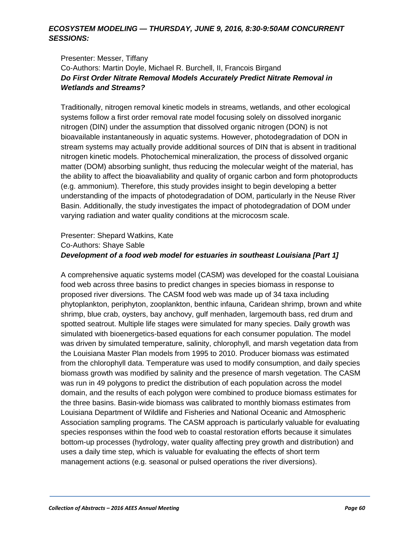#### *ECOSYSTEM MODELING — THURSDAY, JUNE 9, 2016, 8:30-9:50AM CONCURRENT SESSIONS:*

#### Presenter: Messer, Tiffany Co-Authors: Martin Doyle, Michael R. Burchell, II, Francois Birgand *Do First Order Nitrate Removal Models Accurately Predict Nitrate Removal in Wetlands and Streams?*

Traditionally, nitrogen removal kinetic models in streams, wetlands, and other ecological systems follow a first order removal rate model focusing solely on dissolved inorganic nitrogen (DIN) under the assumption that dissolved organic nitrogen (DON) is not bioavailable instantaneously in aquatic systems. However, photodegradation of DON in stream systems may actually provide additional sources of DIN that is absent in traditional nitrogen kinetic models. Photochemical mineralization, the process of dissolved organic matter (DOM) absorbing sunlight, thus reducing the molecular weight of the material, has the ability to affect the bioavaliability and quality of organic carbon and form photoproducts (e.g. ammonium). Therefore, this study provides insight to begin developing a better understanding of the impacts of photodegradation of DOM, particularly in the Neuse River Basin. Additionally, the study investigates the impact of photodegradation of DOM under varying radiation and water quality conditions at the microcosm scale.

#### Presenter: Shepard Watkins, Kate Co-Authors: Shaye Sable *Development of a food web model for estuaries in southeast Louisiana [Part 1]*

A comprehensive aquatic systems model (CASM) was developed for the coastal Louisiana food web across three basins to predict changes in species biomass in response to proposed river diversions. The CASM food web was made up of 34 taxa including phytoplankton, periphyton, zooplankton, benthic infauna, Caridean shrimp, brown and white shrimp, blue crab, oysters, bay anchovy, gulf menhaden, largemouth bass, red drum and spotted seatrout. Multiple life stages were simulated for many species. Daily growth was simulated with bioenergetics-based equations for each consumer population. The model was driven by simulated temperature, salinity, chlorophyll, and marsh vegetation data from the Louisiana Master Plan models from 1995 to 2010. Producer biomass was estimated from the chlorophyll data. Temperature was used to modify consumption, and daily species biomass growth was modified by salinity and the presence of marsh vegetation. The CASM was run in 49 polygons to predict the distribution of each population across the model domain, and the results of each polygon were combined to produce biomass estimates for the three basins. Basin-wide biomass was calibrated to monthly biomass estimates from Louisiana Department of Wildlife and Fisheries and National Oceanic and Atmospheric Association sampling programs. The CASM approach is particularly valuable for evaluating species responses within the food web to coastal restoration efforts because it simulates bottom-up processes (hydrology, water quality affecting prey growth and distribution) and uses a daily time step, which is valuable for evaluating the effects of short term management actions (e.g. seasonal or pulsed operations the river diversions).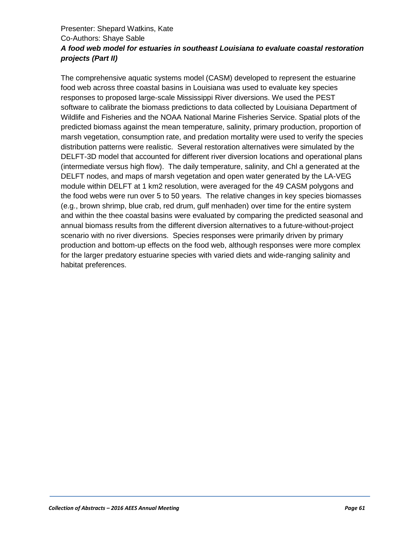## Presenter: Shepard Watkins, Kate Co-Authors: Shaye Sable *A food web model for estuaries in southeast Louisiana to evaluate coastal restoration projects (Part II)*

The comprehensive aquatic systems model (CASM) developed to represent the estuarine food web across three coastal basins in Louisiana was used to evaluate key species responses to proposed large-scale Mississippi River diversions. We used the PEST software to calibrate the biomass predictions to data collected by Louisiana Department of Wildlife and Fisheries and the NOAA National Marine Fisheries Service. Spatial plots of the predicted biomass against the mean temperature, salinity, primary production, proportion of marsh vegetation, consumption rate, and predation mortality were used to verify the species distribution patterns were realistic. Several restoration alternatives were simulated by the DELFT-3D model that accounted for different river diversion locations and operational plans (intermediate versus high flow). The daily temperature, salinity, and Chl a generated at the DELFT nodes, and maps of marsh vegetation and open water generated by the LA-VEG module within DELFT at 1 km2 resolution, were averaged for the 49 CASM polygons and the food webs were run over 5 to 50 years. The relative changes in key species biomasses (e.g., brown shrimp, blue crab, red drum, gulf menhaden) over time for the entire system and within the thee coastal basins were evaluated by comparing the predicted seasonal and annual biomass results from the different diversion alternatives to a future-without-project scenario with no river diversions. Species responses were primarily driven by primary production and bottom-up effects on the food web, although responses were more complex for the larger predatory estuarine species with varied diets and wide-ranging salinity and habitat preferences.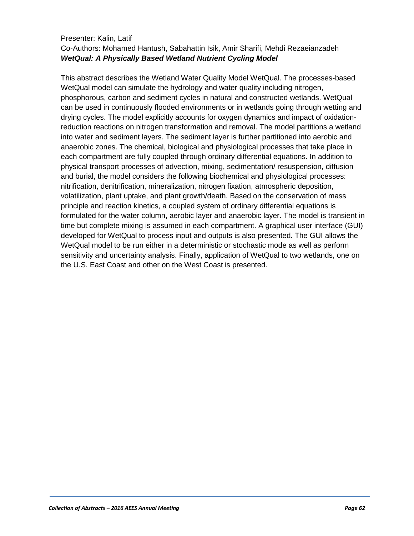#### Presenter: Kalin, Latif Co-Authors: Mohamed Hantush, Sabahattin Isik, Amir Sharifi, Mehdi Rezaeianzadeh *WetQual: A Physically Based Wetland Nutrient Cycling Model*

This abstract describes the Wetland Water Quality Model WetQual. The processes-based WetQual model can simulate the hydrology and water quality including nitrogen, phosphorous, carbon and sediment cycles in natural and constructed wetlands. WetQual can be used in continuously flooded environments or in wetlands going through wetting and drying cycles. The model explicitly accounts for oxygen dynamics and impact of oxidationreduction reactions on nitrogen transformation and removal. The model partitions a wetland into water and sediment layers. The sediment layer is further partitioned into aerobic and anaerobic zones. The chemical, biological and physiological processes that take place in each compartment are fully coupled through ordinary differential equations. In addition to physical transport processes of advection, mixing, sedimentation/ resuspension, diffusion and burial, the model considers the following biochemical and physiological processes: nitrification, denitrification, mineralization, nitrogen fixation, atmospheric deposition, volatilization, plant uptake, and plant growth/death. Based on the conservation of mass principle and reaction kinetics, a coupled system of ordinary differential equations is formulated for the water column, aerobic layer and anaerobic layer. The model is transient in time but complete mixing is assumed in each compartment. A graphical user interface (GUI) developed for WetQual to process input and outputs is also presented. The GUI allows the WetQual model to be run either in a deterministic or stochastic mode as well as perform sensitivity and uncertainty analysis. Finally, application of WetQual to two wetlands, one on the U.S. East Coast and other on the West Coast is presented.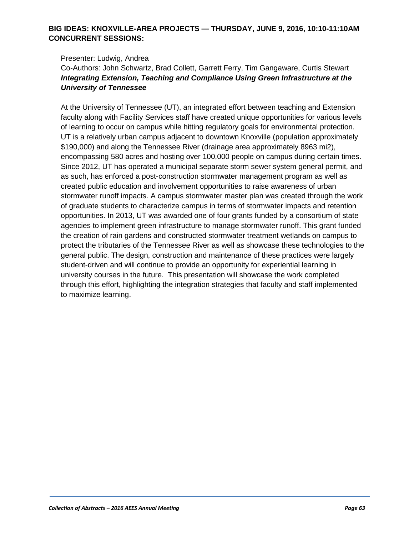#### **BIG IDEAS: KNOXVILLE-AREA PROJECTS — THURSDAY, JUNE 9, 2016, 10:10-11:10AM CONCURRENT SESSIONS:**

#### Presenter: Ludwig, Andrea

Co-Authors: John Schwartz, Brad Collett, Garrett Ferry, Tim Gangaware, Curtis Stewart *Integrating Extension, Teaching and Compliance Using Green Infrastructure at the University of Tennessee*

At the University of Tennessee (UT), an integrated effort between teaching and Extension faculty along with Facility Services staff have created unique opportunities for various levels of learning to occur on campus while hitting regulatory goals for environmental protection. UT is a relatively urban campus adjacent to downtown Knoxville (population approximately \$190,000) and along the Tennessee River (drainage area approximately 8963 mi2), encompassing 580 acres and hosting over 100,000 people on campus during certain times. Since 2012, UT has operated a municipal separate storm sewer system general permit, and as such, has enforced a post-construction stormwater management program as well as created public education and involvement opportunities to raise awareness of urban stormwater runoff impacts. A campus stormwater master plan was created through the work of graduate students to characterize campus in terms of stormwater impacts and retention opportunities. In 2013, UT was awarded one of four grants funded by a consortium of state agencies to implement green infrastructure to manage stormwater runoff. This grant funded the creation of rain gardens and constructed stormwater treatment wetlands on campus to protect the tributaries of the Tennessee River as well as showcase these technologies to the general public. The design, construction and maintenance of these practices were largely student-driven and will continue to provide an opportunity for experiential learning in university courses in the future. This presentation will showcase the work completed through this effort, highlighting the integration strategies that faculty and staff implemented to maximize learning.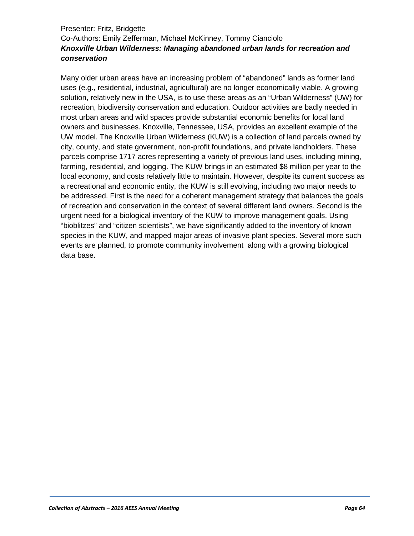## Presenter: Fritz, Bridgette Co-Authors: Emily Zefferman, Michael McKinney, Tommy Cianciolo *Knoxville Urban Wilderness: Managing abandoned urban lands for recreation and conservation*

Many older urban areas have an increasing problem of "abandoned" lands as former land uses (e.g., residential, industrial, agricultural) are no longer economically viable. A growing solution, relatively new in the USA, is to use these areas as an "Urban Wilderness" (UW) for recreation, biodiversity conservation and education. Outdoor activities are badly needed in most urban areas and wild spaces provide substantial economic benefits for local land owners and businesses. Knoxville, Tennessee, USA, provides an excellent example of the UW model. The Knoxville Urban Wilderness (KUW) is a collection of land parcels owned by city, county, and state government, non-profit foundations, and private landholders. These parcels comprise 1717 acres representing a variety of previous land uses, including mining, farming, residential, and logging. The KUW brings in an estimated \$8 million per year to the local economy, and costs relatively little to maintain. However, despite its current success as a recreational and economic entity, the KUW is still evolving, including two major needs to be addressed. First is the need for a coherent management strategy that balances the goals of recreation and conservation in the context of several different land owners. Second is the urgent need for a biological inventory of the KUW to improve management goals. Using "bioblitzes" and "citizen scientists", we have significantly added to the inventory of known species in the KUW, and mapped major areas of invasive plant species. Several more such events are planned, to promote community involvement along with a growing biological data base.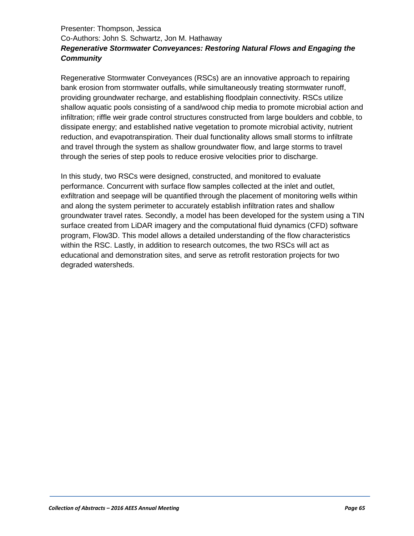## Presenter: Thompson, Jessica Co-Authors: John S. Schwartz, Jon M. Hathaway *Regenerative Stormwater Conveyances: Restoring Natural Flows and Engaging the Community*

Regenerative Stormwater Conveyances (RSCs) are an innovative approach to repairing bank erosion from stormwater outfalls, while simultaneously treating stormwater runoff, providing groundwater recharge, and establishing floodplain connectivity. RSCs utilize shallow aquatic pools consisting of a sand/wood chip media to promote microbial action and infiltration; riffle weir grade control structures constructed from large boulders and cobble, to dissipate energy; and established native vegetation to promote microbial activity, nutrient reduction, and evapotranspiration. Their dual functionality allows small storms to infiltrate and travel through the system as shallow groundwater flow, and large storms to travel through the series of step pools to reduce erosive velocities prior to discharge.

In this study, two RSCs were designed, constructed, and monitored to evaluate performance. Concurrent with surface flow samples collected at the inlet and outlet, exfiltration and seepage will be quantified through the placement of monitoring wells within and along the system perimeter to accurately establish infiltration rates and shallow groundwater travel rates. Secondly, a model has been developed for the system using a TIN surface created from LiDAR imagery and the computational fluid dynamics (CFD) software program, Flow3D. This model allows a detailed understanding of the flow characteristics within the RSC. Lastly, in addition to research outcomes, the two RSCs will act as educational and demonstration sites, and serve as retrofit restoration projects for two degraded watersheds.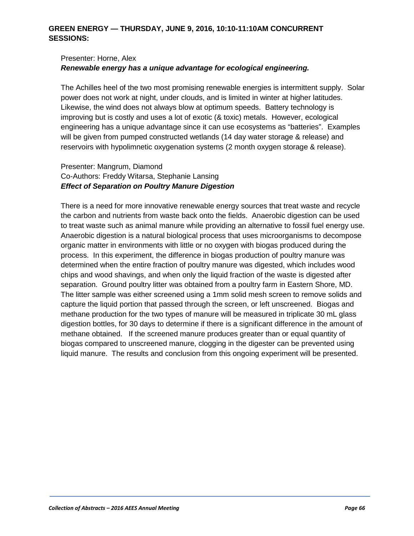## **GREEN ENERGY — THURSDAY, JUNE 9, 2016, 10:10-11:10AM CONCURRENT SESSIONS:**

## Presenter: Horne, Alex *Renewable energy has a unique advantage for ecological engineering.*

The Achilles heel of the two most promising renewable energies is intermittent supply. Solar power does not work at night, under clouds, and is limited in winter at higher latitudes. Likewise, the wind does not always blow at optimum speeds. Battery technology is improving but is costly and uses a lot of exotic (& toxic) metals. However, ecological engineering has a unique advantage since it can use ecosystems as "batteries". Examples will be given from pumped constructed wetlands (14 day water storage & release) and reservoirs with hypolimnetic oxygenation systems (2 month oxygen storage & release).

#### Presenter: Mangrum, Diamond Co-Authors: Freddy Witarsa, Stephanie Lansing *Effect of Separation on Poultry Manure Digestion*

There is a need for more innovative renewable energy sources that treat waste and recycle the carbon and nutrients from waste back onto the fields. Anaerobic digestion can be used to treat waste such as animal manure while providing an alternative to fossil fuel energy use. Anaerobic digestion is a natural biological process that uses microorganisms to decompose organic matter in environments with little or no oxygen with biogas produced during the process. In this experiment, the difference in biogas production of poultry manure was determined when the entire fraction of poultry manure was digested, which includes wood chips and wood shavings, and when only the liquid fraction of the waste is digested after separation. Ground poultry litter was obtained from a poultry farm in Eastern Shore, MD. The litter sample was either screened using a 1mm solid mesh screen to remove solids and capture the liquid portion that passed through the screen, or left unscreened. Biogas and methane production for the two types of manure will be measured in triplicate 30 mL glass digestion bottles, for 30 days to determine if there is a significant difference in the amount of methane obtained. If the screened manure produces greater than or equal quantity of biogas compared to unscreened manure, clogging in the digester can be prevented using liquid manure. The results and conclusion from this ongoing experiment will be presented.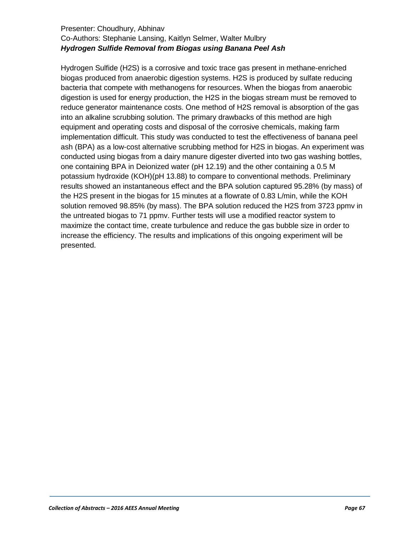#### Presenter: Choudhury, Abhinav Co-Authors: Stephanie Lansing, Kaitlyn Selmer, Walter Mulbry *Hydrogen Sulfide Removal from Biogas using Banana Peel Ash*

Hydrogen Sulfide (H2S) is a corrosive and toxic trace gas present in methane-enriched biogas produced from anaerobic digestion systems. H2S is produced by sulfate reducing bacteria that compete with methanogens for resources. When the biogas from anaerobic digestion is used for energy production, the H2S in the biogas stream must be removed to reduce generator maintenance costs. One method of H2S removal is absorption of the gas into an alkaline scrubbing solution. The primary drawbacks of this method are high equipment and operating costs and disposal of the corrosive chemicals, making farm implementation difficult. This study was conducted to test the effectiveness of banana peel ash (BPA) as a low-cost alternative scrubbing method for H2S in biogas. An experiment was conducted using biogas from a dairy manure digester diverted into two gas washing bottles, one containing BPA in Deionized water (pH 12.19) and the other containing a 0.5 M potassium hydroxide (KOH)(pH 13.88) to compare to conventional methods. Preliminary results showed an instantaneous effect and the BPA solution captured 95.28% (by mass) of the H2S present in the biogas for 15 minutes at a flowrate of 0.83 L/min, while the KOH solution removed 98.85% (by mass). The BPA solution reduced the H2S from 3723 ppmv in the untreated biogas to 71 ppmv. Further tests will use a modified reactor system to maximize the contact time, create turbulence and reduce the gas bubble size in order to increase the efficiency. The results and implications of this ongoing experiment will be presented.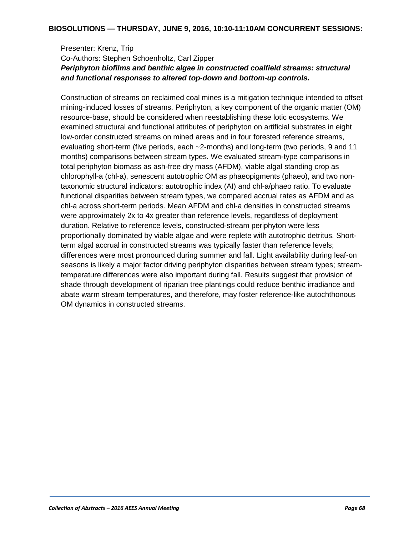## Presenter: Krenz, Trip Co-Authors: Stephen Schoenholtz, Carl Zipper *Periphyton biofilms and benthic algae in constructed coalfield streams: structural and functional responses to altered top-down and bottom-up controls.*

Construction of streams on reclaimed coal mines is a mitigation technique intended to offset mining-induced losses of streams. Periphyton, a key component of the organic matter (OM) resource-base, should be considered when reestablishing these lotic ecosystems. We examined structural and functional attributes of periphyton on artificial substrates in eight low-order constructed streams on mined areas and in four forested reference streams, evaluating short-term (five periods, each ~2-months) and long-term (two periods, 9 and 11 months) comparisons between stream types. We evaluated stream-type comparisons in total periphyton biomass as ash-free dry mass (AFDM), viable algal standing crop as chlorophyll-a (chl-a), senescent autotrophic OM as phaeopigments (phaeo), and two nontaxonomic structural indicators: autotrophic index (AI) and chl-a/phaeo ratio. To evaluate functional disparities between stream types, we compared accrual rates as AFDM and as chl-a across short-term periods. Mean AFDM and chl-a densities in constructed streams were approximately 2x to 4x greater than reference levels, regardless of deployment duration. Relative to reference levels, constructed-stream periphyton were less proportionally dominated by viable algae and were replete with autotrophic detritus. Shortterm algal accrual in constructed streams was typically faster than reference levels; differences were most pronounced during summer and fall. Light availability during leaf-on seasons is likely a major factor driving periphyton disparities between stream types; streamtemperature differences were also important during fall. Results suggest that provision of shade through development of riparian tree plantings could reduce benthic irradiance and abate warm stream temperatures, and therefore, may foster reference-like autochthonous OM dynamics in constructed streams.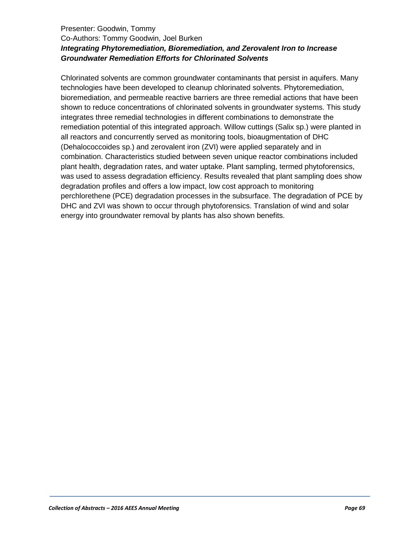## Presenter: Goodwin, Tommy Co-Authors: Tommy Goodwin, Joel Burken *Integrating Phytoremediation, Bioremediation, and Zerovalent Iron to Increase Groundwater Remediation Efforts for Chlorinated Solvents*

Chlorinated solvents are common groundwater contaminants that persist in aquifers. Many technologies have been developed to cleanup chlorinated solvents. Phytoremediation, bioremediation, and permeable reactive barriers are three remedial actions that have been shown to reduce concentrations of chlorinated solvents in groundwater systems. This study integrates three remedial technologies in different combinations to demonstrate the remediation potential of this integrated approach. Willow cuttings (Salix sp.) were planted in all reactors and concurrently served as monitoring tools, bioaugmentation of DHC (Dehalococcoides sp.) and zerovalent iron (ZVI) were applied separately and in combination. Characteristics studied between seven unique reactor combinations included plant health, degradation rates, and water uptake. Plant sampling, termed phytoforensics, was used to assess degradation efficiency. Results revealed that plant sampling does show degradation profiles and offers a low impact, low cost approach to monitoring perchlorethene (PCE) degradation processes in the subsurface. The degradation of PCE by DHC and ZVI was shown to occur through phytoforensics. Translation of wind and solar energy into groundwater removal by plants has also shown benefits.